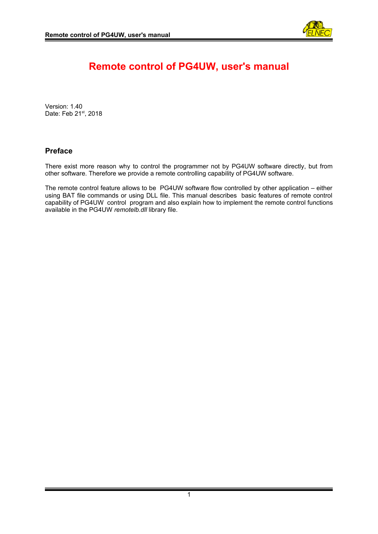

# **Remote control of PG4UW, user's manual**

Version: 1.40 Date: Feb 21st, 2018

# **Preface**

There exist more reason why to control the programmer not by PG4UW software directly, but from other software. Therefore we provide a remote controlling capability of PG4UW software.

The remote control feature allows to be PG4UW software flow controlled by other application – either using BAT file commands or using DLL file. This manual describes basic features of remote control capability of PG4UW control program and also explain how to implement the remote control functions available in the PG4UW *remotelb.dll* library file.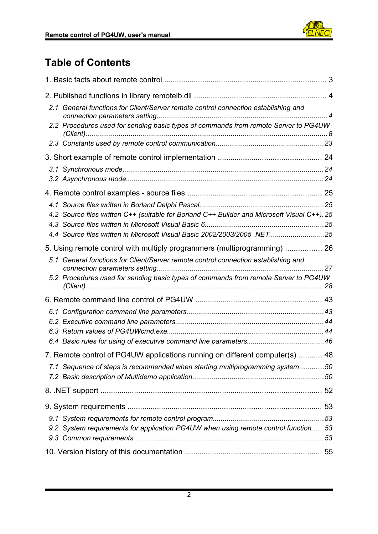

# **Table of Contents**

|                                                                          | 2.1 General functions for Client/Server remote control connection establishing and           |  |  |
|--------------------------------------------------------------------------|----------------------------------------------------------------------------------------------|--|--|
|                                                                          | 2.2 Procedures used for sending basic types of commands from remote Server to PG4UW          |  |  |
|                                                                          |                                                                                              |  |  |
|                                                                          |                                                                                              |  |  |
|                                                                          |                                                                                              |  |  |
|                                                                          |                                                                                              |  |  |
|                                                                          |                                                                                              |  |  |
|                                                                          |                                                                                              |  |  |
|                                                                          | 4.2 Source files written C++ (suitable for Borland C++ Builder and Microsoft Visual C++). 25 |  |  |
|                                                                          | 4.4 Source files written in Microsoft Visual Basic 2002/2003/2005 .NET25                     |  |  |
|                                                                          |                                                                                              |  |  |
| 5. Using remote control with multiply programmers (multiprogramming)  26 |                                                                                              |  |  |
|                                                                          | 5.1 General functions for Client/Server remote control connection establishing and           |  |  |
|                                                                          | 5.2 Procedures used for sending basic types of commands from remote Server to PG4UW          |  |  |
|                                                                          |                                                                                              |  |  |
|                                                                          |                                                                                              |  |  |
|                                                                          |                                                                                              |  |  |
|                                                                          |                                                                                              |  |  |
|                                                                          |                                                                                              |  |  |
|                                                                          | 7. Remote control of PG4UW applications running on different computer(s)  48                 |  |  |
|                                                                          | 7.1 Sequence of steps is recommended when starting multiprogramming system50                 |  |  |
|                                                                          |                                                                                              |  |  |
|                                                                          |                                                                                              |  |  |
|                                                                          |                                                                                              |  |  |
|                                                                          | 9.2 System requirements for application PG4UW when using remote control function53           |  |  |
|                                                                          |                                                                                              |  |  |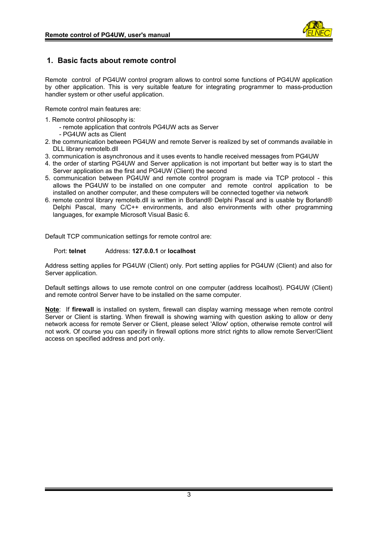

# <span id="page-2-0"></span>**1. Basic facts about remote control**

Remote control of PG4UW control program allows to control some functions of PG4UW application by other application. This is very suitable feature for integrating programmer to mass-production handler system or other useful application.

Remote control main features are:

- 1. Remote control philosophy is:
	- remote application that controls PG4UW acts as Server - PG4UW acts as Client
- 2. the communication between PG4UW and remote Server is realized by set of commands available in DLL library remotelb.dll
- 3. communication is asynchronous and it uses events to handle received messages from PG4UW
- 4. the order of starting PG4UW and Server application is not important but better way is to start the Server application as the first and PG4UW (Client) the second
- 5. communication between PG4UW and remote control program is made via TCP protocol this allows the PG4UW to be installed on one computer and remote control application to be installed on another computer, and these computers will be connected together via network
- 6. remote control library remotelb.dll is written in Borland® Delphi Pascal and is usable by Borland® Delphi Pascal, many C/C++ environments, and also environments with other programming languages, for example Microsoft Visual Basic 6.

Default TCP communication settings for remote control are:

# Port: **telnet** Address: **127.0.0.1** or **localhost**

Address setting applies for PG4UW (Client) only. Port setting applies for PG4UW (Client) and also for Server application.

Default settings allows to use remote control on one computer (address localhost). PG4UW (Client) and remote control Server have to be installed on the same computer.

**Note**: If **firewall** is installed on system, firewall can display warning message when remote control Server or Client is starting. When firewall is showing warning with question asking to allow or deny network access for remote Server or Client, please select 'Allow' option, otherwise remote control will not work. Of course you can specify in firewall options more strict rights to allow remote Server/Client access on specified address and port only.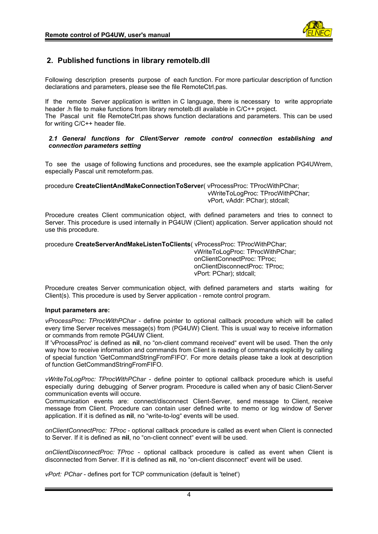

# <span id="page-3-1"></span>**2. Published functions in library remotelb.dll**

Following description presents purpose of each function. For more particular description of function declarations and parameters, please see the file RemoteCtrl.pas.

If the remote Server application is written in C language, there is necessary to write appropriate header .h file to make functions from library remotelb.dll available in C/C++ project. The Pascal unit file RemoteCtrl.pas shows function declarations and parameters. This can be used for writing C/C++ header file.

#### <span id="page-3-0"></span>*2.1 General functions for Client/Server remote control connection establishing and connection parameters setting*

To see the usage of following functions and procedures, see the example application PG4UWrem, especially Pascal unit remoteform.pas.

procedure **CreateClientAndMakeConnectionToServer**( vProcessProc: TProcWithPChar;

 vWriteToLogProc: TProcWithPChar; vPort, vAddr: PChar); stdcall;

Procedure creates Client communication object, with defined parameters and tries to connect to Server. This procedure is used internally in PG4UW (Client) application. Server application should not use this procedure.

procedure **CreateServerAndMakeListenToClients**( vProcessProc: TProcWithPChar;

 vWriteToLogProc: TProcWithPChar; onClientConnectProc: TProc; onClientDisconnectProc: TProc; vPort: PChar); stdcall;

Procedure creates Server communication object, with defined parameters and starts waiting for Client(s). This procedure is used by Server application - remote control program.

# **Input parameters are:**

*vProcessProc: TProcWithPChar* - define pointer to optional callback procedure which will be called every time Server receives message(s) from (PG4UW) Client. This is usual way to receive information or commands from remote PG4UW Client.

If 'vProcessProc' is defined as **nil**, no "on-client command received" event will be used. Then the only way how to receive information and commands from Client is reading of commands explicitly by calling of special function 'GetCommandStringFromFIFO'. For more details please take a look at description of function GetCommandStringFromFIFO.

*vWriteToLogProc: TProcWithPChar* - define pointer to optional callback procedure which is useful especially during debugging of Server program. Procedure is called when any of basic Client-Server communication events will occure.

Communication events are: connect/disconnect Client-Server, send message to Client, receive message from Client. Procedure can contain user defined write to memo or log window of Server application. If it is defined as **nil**, no "write-to-log" events will be used.

*onClientConnectProc: TProc* - optional callback procedure is called as event when Client is connected to Server. If it is defined as **nil**, no "on-client connect" event will be used.

*onClientDisconnectProc: TProc* - optional callback procedure is called as event when Client is disconnected from Server. If it is defined as **nil**, no "on-client disconnect" event will be used.

*vPort: PChar* - defines port for TCP communication (default is 'telnet')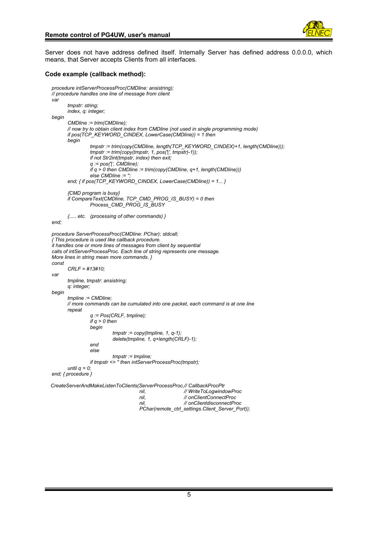

Server does not have address defined itself. Internally Server has defined address 0.0.0.0, which means, that Server accepts Clients from all interfaces.

#### **Code example (callback method):**

```
procedure intServerProcessProc(CMDline: ansistring);
// procedure handles one line of message from client
var
       tmpstr: string;
       index, q: integer;
begin
       CMDline := trim(CMDline);
      // now try to obtain client index from CMDline (not used in single programming mode)
      if pos(TCP_KEYWORD_CINDEX, LowerCase(CMDline)) = 1 then
       begin
                tmpstr := trim(copy(CMDline, length(TCP_KEYWORD_CINDEX)+1, length(CMDline)));
                tmpstr := trim(copy(tmpstr, 1, pos('|', tmpstr)-1));
                if not Str2int(tmpstr, index) then exit;
                q := pos('|', CMDline);
                if q > 0 then CMDline := trim(copy(CMDline, q+1, length(CMDline)))
                else CMDline :=
       end; { if pos(TCP_KEYWORD_CINDEX, LowerCase(CMDline)) = 1... }
       {CMD program is busy}
      if CompareText(CMDline, TCP_CMD_PROG_IS_BUSY) = 0 then
                Process_CMD_PROG_IS_BUSY
      {..... etc. (processing of other commands) }
end;
procedure ServerProcessProc(CMDline: PChar); stdcall;
{ This procedure is used like callback procedure.
it handles one or more lines of messages from client by sequential
calls of intServerProcessProc. Each line of string represents one message.
More lines in string mean more commands. }
const
       CRLF = #13#10;
var
       tmpline, tmpstr: ansistring;
       q: integer;
begin
      tmpline := CMDline;
      // more commands can be cumulated into one packet, each command is at one line
      repeat
                q := Pos(CRLF, tmpline);
                if q > 0 then
                begin
                         tmpstr := copy(tmpline, 1, q-1);
                         delete(tmpline, 1, q+length(CRLF)-1);
                end
                else
                         tmpstr := tmpline;
                if tmpstr <> '' then intServerProcessProc(tmpstr);
       until q = 0;
end; { procedure }
 CreateServerAndMakeListenToClients(ServerProcessProc,// CallbackProcPtr
                                      nil, // WriteToLogwindowProc
                                      nil, // onClientConnectProc
                                      nil, // onClientdisconnectProc
                                      PChar(remote_ctrl_settings.Client_Server_Port));
```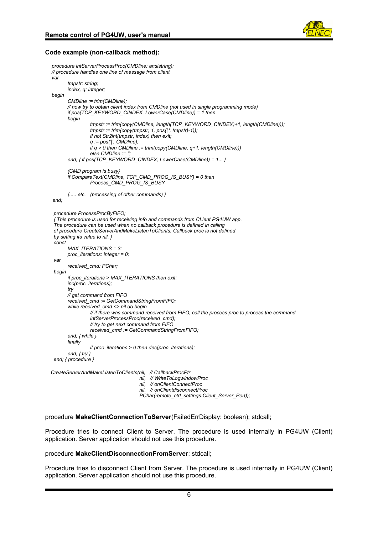

#### **Code example (non-callback method):**

```
procedure intServerProcessProc(CMDline: ansistring);
// procedure handles one line of message from client
var
       tmpstr: string;
      index, q: integer;
begin
       CMDline := trim(CMDline);
      // now try to obtain client index from CMDline (not used in single programming mode)
      if pos(TCP_KEYWORD_CINDEX, LowerCase(CMDline)) = 1 then
      begin
                tmpstr := trim(copy(CMDline, length(TCP_KEYWORD_CINDEX)+1, length(CMDline)));
                tmpstr := trim(copy(tmpstr, 1, pos('|', tmpstr)-1));
                if not Str2int(tmpstr, index) then exit;
                q := pos('|', CMDline);
                if q > 0 then CMDline := trim(copy(CMDline, q+1, length(CMDline)))
                else CMDline :=
      end; { if pos(TCP_KEYWORD_CINDEX, LowerCase(CMDline)) = 1... }
       {CMD program is busy}
      if CompareText(CMDline, TCP_CMD_PROG_IS_BUSY) = 0 then
                Process_CMD_PROG_IS_BUSY
      {..... etc. (processing of other commands) }
end;
 procedure ProcessProcByFIFO;
 { This procedure is used for receiving info and commands from CLient PG4UW app.
 The procedure can be used when no callback procedure is defined in calling
 of procedure CreateServerAndMakeListenToClients. Callback proc is not defined
 by setting its value to nil. }
 const
      MAX_ITERATIONS = 3;
      proc_iterations: integer = 0;
 var
      received_cmd: PChar;
 begin
      if proc_iterations > MAX_ITERATIONS then exit;
      inc(proc_iterations);
      try
      // get command from FIFO
      received_cmd := GetCommandStringFromFIFO;
       while received_cmd <> nil do begin
                // if there was command received from FIFO, call the process proc to process the command
                intServerProcessProc(received_cmd);
                // try to get next command from FIFO
                received_cmd := GetCommandStringFromFIFO;
       end; { while }
      finally
                if proc_iterations > 0 then dec(proc_iterations);
       end; { try }
 end; { procedure }
 CreateServerAndMakeListenToClients(nil, // CallbackProcPtr
                                      nil, // WriteToLogwindowProc
                                      nil, // onClientConnectProc
                                      nil, // onClientdisconnectProc
```
 *PChar(remote\_ctrl\_settings.Client\_Server\_Port));*

procedure **MakeClientConnectionToServer**(FailedErrDisplay: boolean); stdcall;

Procedure tries to connect Client to Server. The procedure is used internally in PG4UW (Client) application. Server application should not use this procedure.

#### procedure **MakeClientDisconnectionFromServer**; stdcall;

Procedure tries to disconnect Client from Server. The procedure is used internally in PG4UW (Client) application. Server application should not use this procedure.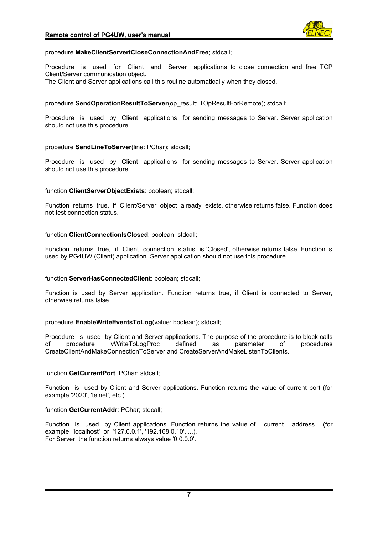

#### procedure **MakeClientServertCloseConnectionAndFree**; stdcall;

Procedure is used for Client and Server applications to close connection and free TCP Client/Server communication object. The Client and Server applications call this routine automatically when they closed.

procedure **SendOperationResultToServer**(op\_result: TOpResultForRemote); stdcall;

Procedure is used by Client applications for sending messages to Server. Server application should not use this procedure.

# procedure **SendLineToServer**(line: PChar); stdcall;

Procedure is used by Client applications for sending messages to Server. Server application should not use this procedure.

#### function **ClientServerObjectExists**: boolean; stdcall;

Function returns true, if Client/Server object already exists, otherwise returns false. Function does not test connection status.

function **ClientConnectionIsClosed**: boolean; stdcall;

Function returns true, if Client connection status is 'Closed', otherwise returns false. Function is used by PG4UW (Client) application. Server application should not use this procedure.

# function **ServerHasConnectedClient**: boolean; stdcall;

Function is used by Server application. Function returns true, if Client is connected to Server, otherwise returns false.

# procedure **EnableWriteEventsToLog**(value: boolean); stdcall;

Procedure is used by Client and Server applications. The purpose of the procedure is to block calls of procedure vWriteToLogProc defined as parameter of procedures CreateClientAndMakeConnectionToServer and CreateServerAndMakeListenToClients.

# function **GetCurrentPort**: PChar; stdcall;

Function is used by Client and Server applications. Function returns the value of current port (for example '2020', 'telnet', etc.).

# function GetCurrentAddr: PChar: stdcall:

Function is used by Client applications. Function returns the value of current address (for example 'localhost' or '127.0.0.1', '192.168.0.10', ...). For Server, the function returns always value '0.0.0.0'.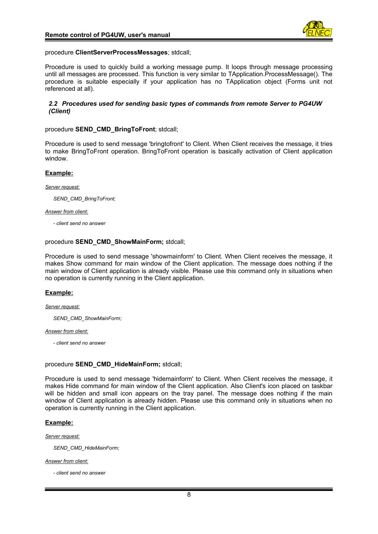

#### procedure **ClientServerProcessMessages**; stdcall;

Procedure is used to quickly build a working message pump. It loops through message processing until all messages are processed. This function is very similar to TApplication.ProcessMessage(). The procedure is suitable especially if your application has no TApplication object (Forms unit not referenced at all).

#### <span id="page-7-0"></span>*2.2 Procedures used for sending basic types of commands from remote Server to PG4UW (Client)*

#### procedure **SEND\_CMD\_BringToFront**; stdcall;

Procedure is used to send message 'bringtofront' to Client. When Client receives the message, it tries to make BringToFront operation. BringToFront operation is basically activation of Client application window.

# **Example:**

*Server request:*

*SEND\_CMD\_BringToFront;*

#### *Answer from client:*

*- client send no answer*

#### procedure **SEND\_CMD\_ShowMainForm;** stdcall;

Procedure is used to send message 'showmainform' to Client. When Client receives the message, it makes Show command for main window of the Client application. The message does nothing if the main window of Client application is already visible. Please use this command only in situations when no operation is currently running in the Client application.

# **Example:**

#### *Server request:*

*SEND\_CMD\_ShowMainForm;*

#### *Answer from client:*

*- client send no answer*

#### procedure **SEND\_CMD\_HideMainForm;** stdcall;

Procedure is used to send message 'hidemainform' to Client. When Client receives the message, it makes Hide command for main window of the Client application. Also Client's icon placed on taskbar will be hidden and small icon appears on the tray panel. The message does nothing if the main window of Client application is already hidden. Please use this command only in situations when no operation is currently running in the Client application.

#### **Example:**

*Server request:*

*SEND\_CMD\_HideMainForm;*

#### *Answer from client:*

*- client send no answer*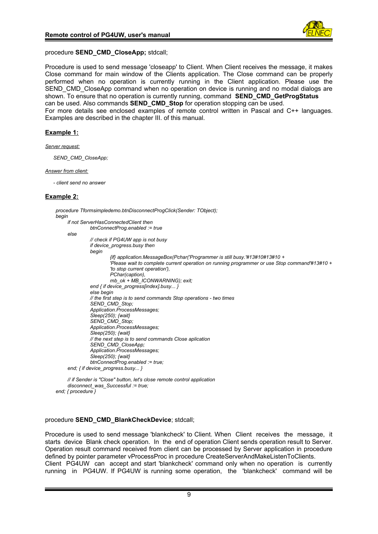

# procedure **SEND\_CMD\_CloseApp;** stdcall;

Procedure is used to send message 'closeapp' to Client. When Client receives the message, it makes Close command for main window of the Clients application. The Close command can be properly performed when no operation is currently running in the Client application. Please use the SEND CMD CloseApp command when no operation on device is running and no modal dialogs are shown. To ensure that no operation is currently running, command **SEND\_CMD\_GetProgStatus**  can be used. Also commands **SEND\_CMD\_Stop** for operation stopping can be used. For more details see enclosed examples of remote control written in Pascal and C++ languages. Examples are described in the chapter III. of this manual.

#### **Example 1:**

*Server request:*

*SEND\_CMD\_CloseApp;*

#### *Answer from client:*

*- client send no answer*

# **Example 2:**

```
procedure Tformsimpledemo.btnDisconnectProgClick(Sender: TObject);
begin
    if not ServerHasConnectedClient then
              btnConnectProg.enabled := true
     else
              // check if PG4UW app is not busy
              if device_progress.busy then
              begin
                        {if} application.MessageBox(Pchar('Programmer is still busy.'#13#10#13#10 +
                        'Please wait to complete current operation on running programmer or use Stop command'#13#10 +
                        'to stop current operation'),
                        PChar(caption),
                        mb_ok + MB_ICONWARNING); exit;
              end { if device_progress[index].busy... }
              else begin
              // the first step is to send commands Stop operations - two times
              SEND_CMD_Stop;
              Application.ProcessMessages;
              Sleep(250); {wait}
              SEND_CMD_Stop;
              Application.ProcessMessages;
              Sleep(250); {wait}
              // the next step is to send commands Close aplication
              SEND_CMD_CloseApp;
              Application.ProcessMessages;
              Sleep(250); {wait}
              btnConnectProg.enabled := true;
     end; { if device_progress.busy... }
```
*// if Sender is "Close" button, let's close remote control application disconnect\_was\_Successful := true; end; { procedure }*

#### procedure **SEND\_CMD\_BlankCheckDevice**; stdcall;

Procedure is used to send message 'blankcheck' to Client. When Client receives the message, it starts device Blank check operation. In the end of operation Client sends operation result to Server. Operation result command received from client can be processed by Server application in procedure defined by pointer parameter vProcessProc in procedure CreateServerAndMakeListenToClients. Client PG4UW can accept and start 'blankcheck' command only when no operation is currently running in PG4UW. If PG4UW is running some operation, the 'blankcheck' command will be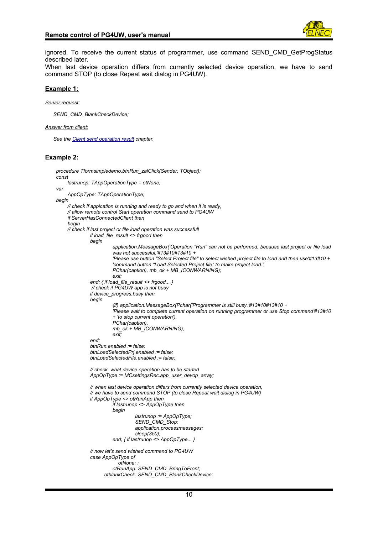ignored. To receive the current status of programmer, use command SEND\_CMD\_GetProgStatus described later.

When last device operation differs from currently selected device operation, we have to send command STOP (to close Repeat wait dialog in PG4UW).

#### **Example 1:**

*Server request:*

*SEND\_CMD\_BlankCheckDevice;*

#### *Answer from client:*

```
See the Client send operation result chapter.
```
#### **Example 2:**

```
procedure Tformsimpledemo.btnRun_zalClick(Sender: TObject);
    const
         lastrunop: TAppOperationType = otNone;
    var
         AppOpType: TAppOperationType;
    begin
        // check if appication is running and ready to go and when it is ready,
        // allow remote control Start operation command send to PG4UW
         if ServerHasConnectedClient then
        begin
        // check if last project or file load operation was successfull
                  if load_file_result <> frgood then
                  begin
                            application.MessageBox('Operation "Run" can not be performed, because last project or file load 
                            was not successful.'#13#10#13#10 +
                             'Please use button "Select Project file" to select wished project file to load and then use'#13#10 +
                            'command button "Load Selected Project file" to make project load.',
                             PChar(caption), mb_ok + MB_ICONWARNING);
 exit;
                  end; { if load_file_result <> frgood... }
                    // check if PG4UW app is not busy
                   if device_progress.busy then
                  begin
                            {if} application.MessageBox(Pchar('Programmer is still busy.'#13#10#13#10 +
                             'Please wait to complete current operation on running programmer or use Stop command'#13#10 
                            + 'to stop current operation'),
                             PChar(caption),
                            mb_ok + MB_ICONWARNING);
                             exit;
                  end;
                  btnRun.enabled := false;
                  btnLoadSelectedPrj.enabled := false;
                  btnLoadSelectedFile.enabled := false;
                  // check, what device operation has to be started
                  AppOpType := MCsettingsRec.app_user_devop_array;
                  // when last device operation differs from currently selected device operation,
                  // we have to send command STOP (to close Repeat wait dialog in PG4UW)
                  if AppOpType <> otRunApp then
                            if lastrunop <> AppOpType then
                            begin
                                     lastrunop := AppOpType;
                                     SEND_CMD_Stop;
                                     application.processmessages;
                                     sleep(350);
                            end; { if lastrunop <> AppOpType... }
                  // now let's send wished command to PG4UW
                  case AppOpType of
                               otNone: ;
                            otRunApp: SEND_CMD_BringToFront;
                         otblankCheck: SEND_CMD_BlankCheckDevice;
```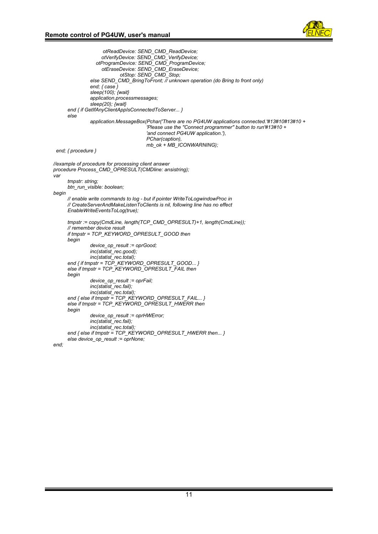

```
 otReadDevice: SEND_CMD_ReadDevice;
 otVerifyDevice: SEND_CMD_VerifyDevice;
 otProgramDevice: SEND_CMD_ProgramDevice;
                       otEraseDevice: SEND_CMD_EraseDevice;
                               otStop: SEND_CMD_Stop;
                   else SEND_CMD_BringToFront; // unknown operation (do Bring to front only)
                   end; { case }
                   sleep(100); {wait}
                   application.processmessages;
                   sleep(20); {wait}
         end { if GetIfAnyClientAppIsConnectedToServer... }
         else
                   application.MessageBox(Pchar('There are no PG4UW applications connected.'#13#10#13#10 +
                                          'Please use the ''Connect programmer'' button to run'#13#10 +
                                          'and connect PG4UW application.'),
                                          PChar(caption),
                                          mb_ok + MB_ICONWARNING);
   end; { procedure }
    //example of procedure for processing client answer
   procedure Process_CMD_OPRESULT(CMDline: ansistring);
   var
        tmpstr: string;
        btn_run_visible: boolean;
   begin
        // enable write commands to log - but if pointer WriteToLogwindowProc in
        // CreateServerAndMakeListenToClients is nil, following line has no effect
        EnableWriteEventsToLog(true);
        tmpstr := copy(CmdLine, length(TCP_CMD_OPRESULT)+1, length(CmdLine));
        // remember device result
        if tmpstr = TCP_KEYWORD_OPRESULT_GOOD then
        begin
                  device_op_result := oprGood;
                  inc(statist_rec.good);
                  inc(statist_rec.total);
         end { if tmpstr = TCP_KEYWORD_OPRESULT_GOOD... }
         else if tmpstr = TCP_KEYWORD_OPRESULT_FAIL then
         begin
                   device_op_result := oprFail;
                   inc(statist_rec.fail);
                   inc(statist_rec.total);
         end { else if tmpstr = TCP_KEYWORD_OPRESULT_FAIL... }
         else if tmpstr = TCP_KEYWORD_OPRESULT_HWERR then
         begin
                   device_op_result := oprHWError;
                   inc(statist_rec.fail);
                  inc(statist_rec.total);
        end { else if tmpstr = TCP_KEYWORD_OPRESULT_HWERR then... }
         else device_op_result := oprNone;
   end;
```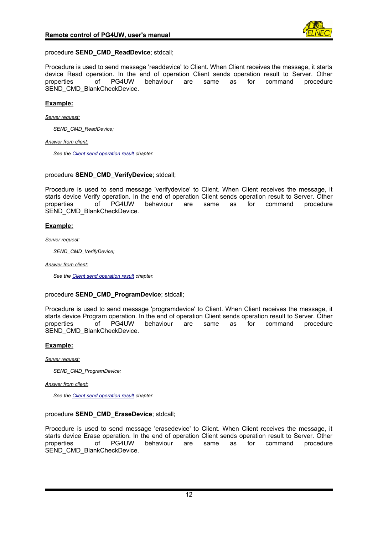

# procedure **SEND\_CMD\_ReadDevice**; stdcall;

Procedure is used to send message 'readdevice' to Client. When Client receives the message, it starts device Read operation. In the end of operation Client sends operation result to Server. Other properties of PG4UW behaviour are same as for command procedure SEND\_CMD\_BlankCheckDevice.

# **Example:**

*Server request:*

*SEND\_CMD\_ReadDevice;*

*Answer from client:*

*See the [Client send operation result](#page-31-0) chapter.*

#### procedure **SEND CMD VerifyDevice**; stdcall;

Procedure is used to send message 'verifydevice' to Client. When Client receives the message, it starts device Verify operation. In the end of operation Client sends operation result to Server. Other<br>properties of PG4UW behaviour are same as for command procedure properties of PG4UW behaviour are same as for command procedure SEND\_CMD\_BlankCheckDevice.

# **Example:**

#### *Server request:*

*SEND\_CMD\_VerifyDevice;*

*Answer from client:*

*See the [Client send operation result](#page-31-0) chapter.*

# procedure **SEND\_CMD\_ProgramDevice**; stdcall;

Procedure is used to send message 'programdevice' to Client. When Client receives the message, it starts device Program operation. In the end of operation Client sends operation result to Server. Other<br>properties of PG4UW behaviour are same as for command procedure properties of PG4UW behaviour are same as for command procedure SEND\_CMD\_BlankCheckDevice.

# **Example:**

*Server request:*

*SEND\_CMD\_ProgramDevice;*

#### *Answer from client:*

*See the [Client send operation result](#page-31-0) chapter.*

# procedure **SEND\_CMD\_EraseDevice**; stdcall;

Procedure is used to send message 'erasedevice' to Client. When Client receives the message, it starts device Erase operation. In the end of operation Client sends operation result to Server. Other properties of PG4UW behaviour are same as for command procedure SEND\_CMD\_BlankCheckDevice.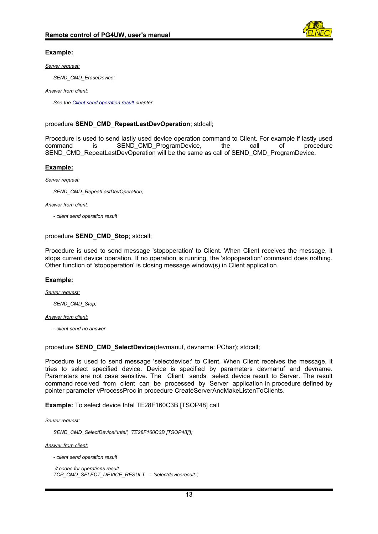

# **Example:**

#### *Server request:*

*SEND\_CMD\_EraseDevice;*

#### *Answer from client:*

*See the [Client send operation result](#page-31-0) chapter.*

# procedure **SEND\_CMD\_RepeatLastDevOperation**; stdcall;

Procedure is used to send lastly used device operation command to Client. For example if lastly used command is SEND\_CMD\_ProgramDevice, the call of procedure SEND\_CMD\_RepeatLastDevOperation will be the same as call of SEND\_CMD\_ProgramDevice.

# **Example:**

*Server request:*

*SEND\_CMD\_RepeatLastDevOperation;*

*Answer from client:*

*- client send operation result*

# procedure **SEND\_CMD\_Stop**; stdcall;

Procedure is used to send message 'stopoperation' to Client. When Client receives the message, it stops current device operation. If no operation is running, the 'stopoperation' command does nothing. Other function of 'stopoperation' is closing message window(s) in Client application.

# **Example:**

*Server request:*

*SEND\_CMD\_Stop;*

*Answer from client:*

*- client send no answer*

procedure **SEND\_CMD\_SelectDevice**(devmanuf, devname: PChar); stdcall;

Procedure is used to send message 'selectdevice:' to Client. When Client receives the message, it tries to select specified device. Device is specified by parameters devmanuf and devname. Parameters are not case sensitive. The Client sends select device result to Server. The result command received from client can be processed by Server application in procedure defined by pointer parameter vProcessProc in procedure CreateServerAndMakeListenToClients.

 **Example:** To select device Intel TE28F160C3B [TSOP48] call

*Server request:*

*SEND\_CMD\_SelectDevice('Intel', 'TE28F160C3B [TSOP48]');*

*Answer from client:*

*- client send operation result*

 *// codes for operations result TCP\_CMD\_SELECT\_DEVICE\_RESULT = 'selectdeviceresult:';*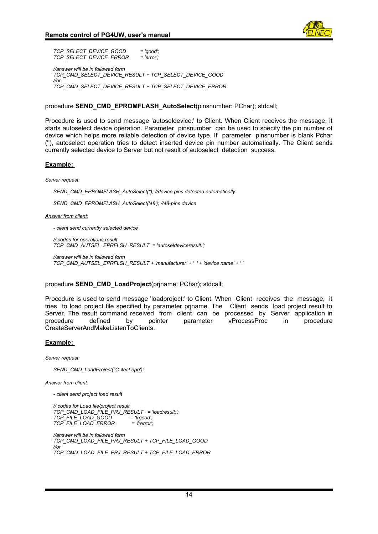

*TCP\_SELECT\_DEVICE\_GOOD = 'good'; TCP\_SELECT\_DEVICE\_ERROR = 'error'; //answer will be in followed form TCP\_CMD\_SELECT\_DEVICE\_RESULT + TCP\_SELECT\_DEVICE\_GOOD //or TCP\_CMD\_SELECT\_DEVICE\_RESULT + TCP\_SELECT\_DEVICE\_ERROR*

#### procedure **SEND\_CMD\_EPROMFLASH\_AutoSelect**(pinsnumber: PChar); stdcall;

Procedure is used to send message 'autoseldevice:' to Client. When Client receives the message, it starts autoselect device operation. Parameter pinsnumber can be used to specify the pin number of device which helps more reliable detection of device type. If parameter pinsnumber is blank Pchar (''), autoselect operation tries to detect inserted device pin number automatically. The Client sends currently selected device to Server but not result of autoselect detection success.

#### **Example:**

*Server request:*

*SEND\_CMD\_EPROMFLASH\_AutoSelect(''); //device pins detected automatically*

*SEND\_CMD\_EPROMFLASH\_AutoSelect('48'); //48-pins device*

#### *Answer from client:*

*- client send currently selected device*

*// codes for operations result TCP\_CMD\_AUTSEL\_EPRFLSH\_RESULT = 'autoseldeviceresult:';*

*//answer will be in followed form TCP\_CMD\_AUTSEL\_EPRFLSH\_RESULT + 'manufacturer' + ' ' + 'device name' + ' '*

#### procedure **SEND\_CMD\_LoadProject**(prjname: PChar); stdcall;

Procedure is used to send message 'loadproject:' to Client. When Client receives the message, it tries to load project file specified by parameter prjname. The Client sends load project result to Server. The result command received from client can be processed by Server application in<br>procedure defined by pointer parameter vProcessProc in procedure procedure defined by pointer parameter vProcessProc in procedure CreateServerAndMakeListenToClients.

#### **Example:**

*Server request:*

*SEND\_CMD\_LoadProject(''C:\test.eprj');* 

*Answer from client:*

*- client send project load result*

 *// codes for Load file/project result TCP\_CMD\_LOAD\_FILE\_PRJ\_RESULT = 'loadresult:'; TCP\_FILE\_LOAD\_GOOD = 'frgood'; TCP\_FILE\_LOAD\_ERROR = 'frerror';*

*//answer will be in followed form TCP\_CMD\_LOAD\_FILE\_PRJ\_RESULT + TCP\_FILE\_LOAD\_GOOD //or TCP\_CMD\_LOAD\_FILE\_PRJ\_RESULT + TCP\_FILE\_LOAD\_ERROR*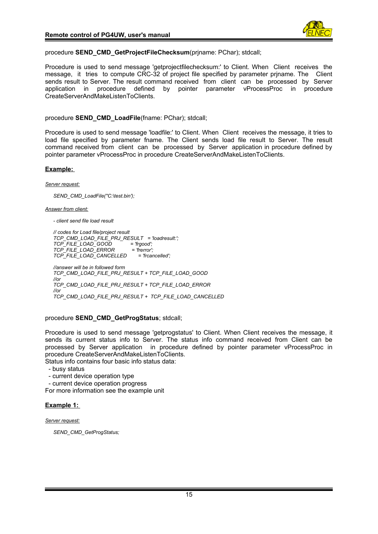

procedure **SEND\_CMD\_GetProjectFileChecksum**(prjname: PChar); stdcall;

Procedure is used to send message 'getprojectfilechecksum:' to Client. When Client receives the message, it tries to compute CRC-32 of project file specified by parameter priname. The Client sends result to Server. The result command received from client can be processed by Server application in procedure defined by pointer parameter vProcessProc in procedure CreateServerAndMakeListenToClients.

procedure **SEND\_CMD\_LoadFile**(fname: PChar); stdcall;

Procedure is used to send message 'loadfile:' to Client. When Client receives the message, it tries to load file specified by parameter fname. The Client sends load file result to Server. The result command received from client can be processed by Server application in procedure defined by pointer parameter vProcessProc in procedure CreateServerAndMakeListenToClients.

#### **Example:**

*Server request:*

*SEND\_CMD\_LoadFile(''C:\test.bin');* 

*Answer from client:*

*- client send file load result*

 *// codes for Load file/project result TCP\_CMD\_LOAD\_FILE\_PRJ\_RESULT = 'loadresult:'; TCP\_FILE\_LOAD\_GOOD = 'frgood'; TCP\_FILE\_LOAD\_ERROR = 'frerror'; TCP\_FILE\_LOAD\_CANCELLED = 'frcancelled'; //answer will be in followed form TCP\_CMD\_LOAD\_FILE\_PRJ\_RESULT + TCP\_FILE\_LOAD\_GOOD //or TCP\_CMD\_LOAD\_FILE\_PRJ\_RESULT + TCP\_FILE\_LOAD\_ERROR //or TCP\_CMD\_LOAD\_FILE\_PRJ\_RESULT + TCP\_FILE\_LOAD\_CANCELLED*

procedure **SEND\_CMD\_GetProgStatus**; stdcall;

Procedure is used to send message 'getprogstatus' to Client. When Client receives the message, it sends its current status info to Server. The status info command received from Client can be processed by Server application in procedure defined by pointer parameter vProcessProc in procedure CreateServerAndMakeListenToClients. Status info contains four basic info status data:

- busy status
- current device operation type

- current device operation progress

For more information see the example unit

# **Example 1:**

#### *Server request:*

*SEND\_CMD\_GetProgStatus;*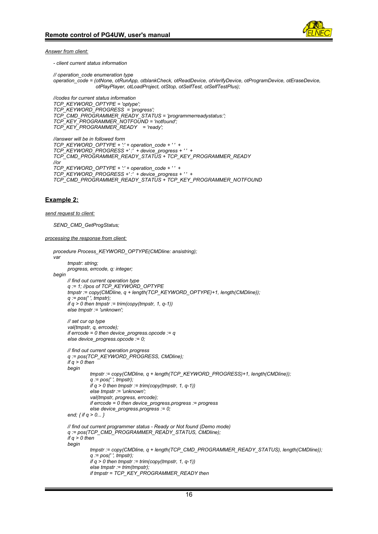

*Answer from client:*

*- client current status information*

*// operation\_code enumeration type operation\_code = (otNone, otRunApp, otblankCheck, otReadDevice, otVerifyDevice, otProgramDevice, otEraseDevice, otPlayPlayer, otLoadProject, otStop, otSelfTest, otSelfTestPlus);*

*//codes for current status information TCP\_KEYWORD\_OPTYPE = 'optype'; TCP\_KEYWORD\_PROGRESS = 'progress'; TCP\_CMD\_PROGRAMMER\_READY\_STATUS = 'programmerreadystatus:'; TCP\_KEY\_PROGRAMMER\_NOTFOUND = 'notfound'; TCP\_KEY\_PROGRAMMER\_READY = 'ready';*

```
//answer will be in followed form
TCP_KEYWORD_OPTYPE + ':' + operation_code + ' ' + 
TCP_KEYWORD_PROGRESS +' :' + device_progress + ' ' +
TCP_CMD_PROGRAMMER_READY_STATUS + TCP_KEY_PROGRAMMER_READY
//or
TCP_KEYWORD_OPTYPE + ':' + operation_code + ' ' + 
TCP_KEYWORD_PROGRESS +' :' + device_progress + ' ' +
TCP_CMD_PROGRAMMER_READY_STATUS + TCP_KEY_PROGRAMMER_NOTFOUND
```
# **Example 2:**

```
send request to client:
```

```
SEND_CMD_GetProgStatus;
```
*processing the response from client:*

```
procedure Process_KEYWORD_OPTYPE(CMDline: ansistring);
var
      tmpstr: string;
     progress, errcode, q: integer;
begin
     // find out current operation type
      q := 1; //pos of TCP_KEYWORD_OPTYPE
     tmpstr := copy(CMDline, q + length(TCP_KEYWORD_OPTYPE)+1, length(CMDline));
      q := pos(' ', tmpstr);
      if q > 0 then tmpstr := trim(copy(tmpstr, 1, q-1))
     else tmpstr := 'unknown';
     // set cur op type
      val(tmpstr, q, errcode);
      if errcode = 0 then device_progress.opcode := q
       else device_progress.opcode := 0;
     // find out current operation progress
     q := pos(TCP_KEYWORD_PROGRESS, CMDline);
     if q > 0 then
      begin
               tmpstr := copy(CMDline, q + length(TCP_KEYWORD_PROGRESS)+1, length(CMDline));
               q := pos(' ', tmpstr);
               if q > 0 then tmpstr := trim(copy(tmpstr, 1, q-1))
               else tmpstr := 'unknown';
               val(tmpstr, progress, errcode);
               if errcode = 0 then device_progress.progress := progress
               else device_progress.progress := 0;
      end; { if q > 0... }
      // find out current programmer status - Ready or Not found (Demo mode)
      q := pos(TCP_CMD_PROGRAMMER_READY_STATUS, CMDline);
      if q > 0 then
     begin
               tmpstr := copy(CMDline, q + length(TCP_CMD_PROGRAMMER_READY_STATUS), length(CMDline));
               q := pos(' ', tmpstr);
               if q > 0 then tmpstr := trim(copy(tmpstr, 1, q-1))
               else tmpstr := trim(tmpstr);
               if tmpstr = TCP_KEY_PROGRAMMER_READY then
```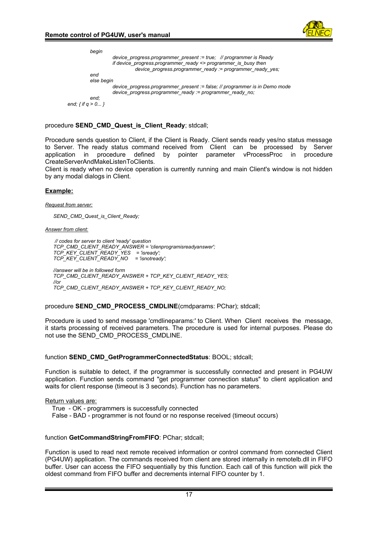

```
begin
                  device_progress.programmer_present := true; // programmer is Ready
                  if device_progress.programmer_ready <> programmer_is_busy then
                            device_progress.programmer_ready := programmer_ready_yes;
         end
          else begin
                   device_progress.programmer_present := false; // programmer is in Demo mode
                   device_progress.programmer_ready := programmer_ready_no;
          end;
end; { if q > 0... }
```
procedure **SEND\_CMD\_Quest\_is\_Client\_Ready**; stdcall;

Procedure sends question to Client, if the Client is Ready. Client sends ready yes/no status message to Server. The ready status command received from Client can be processed by Server application in procedure defined by pointer parameter vProcessProc in procedure CreateServerAndMakeListenToClients.

Client is ready when no device operation is currently running and main Client's window is not hidden by any modal dialogs in Client.

# **Example:**

*Request from server:*

*SEND\_CMD\_Quest\_is\_Client\_Ready;*

*Answer from client:*

 *// codes for server to client 'ready' question TCP\_CMD\_CLIENT\_READY\_ANSWER = 'clienprogramisreadyanswer'; TCP\_KEY\_CLIENT\_READY\_YES = 'isready'; TCP\_KEY\_CLIENT\_READY\_NO = 'isnotready'; //answer will be in followed form TCP\_CMD\_CLIENT\_READY\_ANSWER + TCP\_KEY\_CLIENT\_READY\_YES; //or*

*TCP\_CMD\_CLIENT\_READY\_ANSWER + TCP\_KEY\_CLIENT\_READY\_NO;*

#### procedure **SEND\_CMD\_PROCESS\_CMDLINE**(cmdparams: PChar); stdcall;

Procedure is used to send message 'cmdlineparams:' to Client. When Client receives the message, it starts processing of received parameters. The procedure is used for internal purposes. Please do not use the SEND\_CMD\_PROCESS\_CMDLINE.

#### function **SEND\_CMD\_GetProgrammerConnectedStatus**: BOOL; stdcall;

Function is suitable to detect, if the programmer is successfully connected and present in PG4UW application. Function sends command "get programmer connection status" to client application and waits for client response (timeout is 3 seconds). Function has no parameters.

Return values are:

True - OK - programmers is successfully connected

False - BAD - programmer is not found or no response received (timeout occurs)

#### function **GetCommandStringFromFIFO**: PChar; stdcall;

Function is used to read next remote received information or control command from connected Client (PG4UW) application. The commands received from client are stored internally in remotelb.dll in FIFO buffer. User can access the FIFO sequentially by this function. Each call of this function will pick the oldest command from FIFO buffer and decrements internal FIFO counter by 1.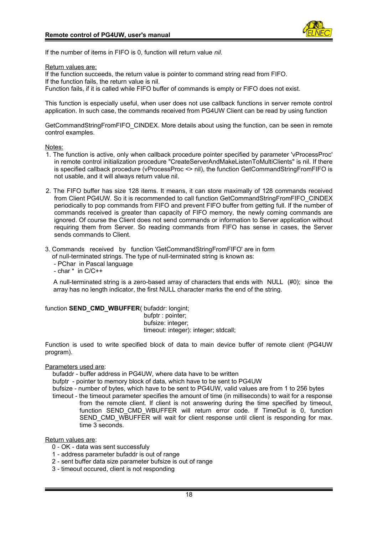

If the number of items in FIFO is 0, function will return value *nil*.

Return values are:

If the function succeeds, the return value is pointer to command string read from FIFO. If the function fails, the return value is nil. Function fails, if it is called while FIFO buffer of commands is empty or FIFO does not exist.

This function is especially useful, when user does not use callback functions in server remote control application. In such case, the commands received from PG4UW Client can be read by using function

GetCommandStringFromFIFO\_CINDEX. More details about using the function, can be seen in remote control examples.

#### Notes:

- 1. The function is active, only when callback procedure pointer specified by parameter 'vProcessProc' in remote control initialization procedure "CreateServerAndMakeListenToMultiClients" is nil. If there is specified callback procedure (vProcessProc <> nil), the function GetCommandStringFromFIFO is not usable, and it will always return value nil.
- 2. The FIFO buffer has size 128 items. It means, it can store maximally of 128 commands received from Client PG4UW. So it is recommended to call function GetCommandStringFromFIFO\_CINDEX periodically to pop commands from FIFO and prevent FIFO buffer from getting full. If the number of commands received is greater than capacity of FIFO memory, the newly coming commands are ignored. Of course the Client does not send commands or information to Server application without requiring them from Server. So reading commands from FIFO has sense in cases, the Server sends commands to Client.
- 3. Commands received by function 'GetCommandStringFromFIFO' are in form
	- of null-terminated strings. The type of null-terminated string is known as:
	- PChar in Pascal language
	- char \* in C/C++

A null-terminated string is a zero-based array of characters that ends with NULL (#0); since the array has no length indicator, the first NULL character marks the end of the string.

#### function **SEND\_CMD\_WBUFFER**( bufaddr: longint;

 bufptr : pointer; bufsize: integer; timeout: integer): integer; stdcall;

Function is used to write specified block of data to main device buffer of remote client (PG4UW program).

#### Parameters used are:

- bufaddr buffer address in PG4UW, where data have to be written
- bufptr pointer to memory block of data, which have to be sent to PG4UW
- bufsize number of bytes, which have to be sent to PG4UW, valid values are from 1 to 256 bytes timeout - the timeout parameter specifies the amount of time (in milliseconds) to wait for a response from the remote client. If client is not answering during the time specified by timeout, function SEND CMD WBUFFER will return error code. If TimeOut is 0, function SEND\_CMD\_WBUFFER will wait for client response until client is responding for max. time 3 seconds.

#### Return values are:

- 0 OK data was sent successfuly
- 1 address parameter bufaddr is out of range
- 2 sent buffer data size parameter bufsize is out of range
- 3 timeout occured, client is not responding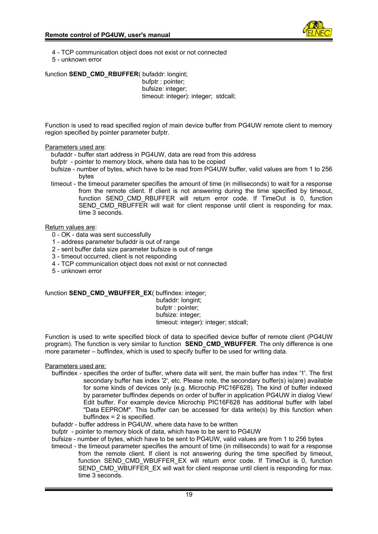

- 4 TCP communication object does not exist or not connected
- 5 unknown error

function **SEND CMD RBUFFER**( bufaddr: longint; bufptr : pointer; bufsize: integer; timeout: integer): integer; stdcall;

Function is used to read specified region of main device buffer from PG4UW remote client to memory region specified by pointer parameter bufptr.

# Parameters used are:

- bufaddr buffer start address in PG4UW, data are read from this address
- bufptr pointer to memory block, where data has to be copied
- bufsize number of bytes, which have to be read from PG4UW buffer, valid values are from 1 to 256 bytes
- timeout the timeout parameter specifies the amount of time (in milliseconds) to wait for a response from the remote client. If client is not answering during the time specified by timeout, function SEND CMD RBUFFER will return error code. If TimeOut is 0, function SEND CMD RBUFFER will wait for client response until client is responding for max. time 3 seconds.

# Return values are:

- 0 OK data was sent successfully
- 1 address parameter bufaddr is out of range
- 2 sent buffer data size parameter bufsize is out of range
- 3 timeout occurred, client is not responding
- 4 TCP communication object does not exist or not connected
- 5 unknown error

# function **SEND\_CMD\_WBUFFER\_EX**( buffindex: integer;

 bufaddr: longint; bufptr : pointer; bufsize: integer; timeout: integer): integer; stdcall;

Function is used to write specified block of data to specified device buffer of remote client (PG4UW program). The function is very similar to function **SEND\_CMD\_WBUFFER**. The only difference is one more parameter – buffindex, which is used to specify buffer to be used for writing data.

# Parameters used are:

- buffindex specifies the order of buffer, where data will sent, the main buffer has index '1'. The first secondary buffer has index '2', etc. Please note, the secondary buffer(s) is(are) available for some kinds of devices only (e.g. Microchip PIC16F628). The kind of buffer indexed by parameter buffindex depends on order of buffer in application PG4UW in dialog View/ Edit buffer. For example device Microchip PIC16F628 has additional buffer with label "Data EEPROM". This buffer can be accessed for data write(s) by this function when buffindex  $= 2$  is specified.
- bufaddr buffer address in PG4UW, where data have to be written
- bufptr pointer to memory block of data, which have to be sent to PG4UW
- bufsize number of bytes, which have to be sent to PG4UW, valid values are from 1 to 256 bytes
- timeout the timeout parameter specifies the amount of time (in milliseconds) to wait for a response from the remote client. If client is not answering during the time specified by timeout, function SEND CMD WBUFFER EX will return error code. If TimeOut is 0, function SEND\_CMD\_WBUFFER\_EX will wait for client response until client is responding for max. time 3 seconds.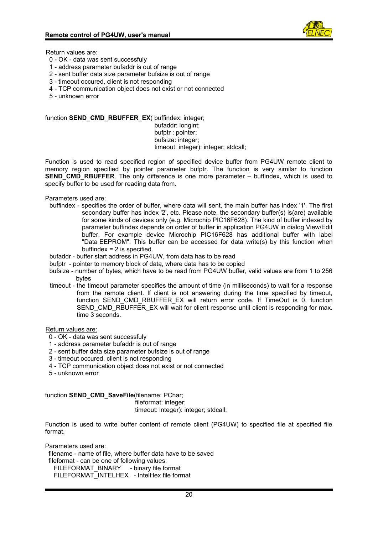

Return values are:

- 0 OK data was sent successfuly
- 1 address parameter bufaddr is out of range
- 2 sent buffer data size parameter bufsize is out of range
- 3 timeout occured, client is not responding
- 4 TCP communication object does not exist or not connected
- 5 unknown error

function **SEND\_CMD\_RBUFFER\_EX**( buffindex: integer; bufaddr: longint; bufptr : pointer; bufsize: integer; timeout: integer): integer; stdcall;

Function is used to read specified region of specified device buffer from PG4UW remote client to memory region specified by pointer parameter bufptr. The function is very similar to function **SEND CMD RBUFFER.** The only difference is one more parameter – buffindex, which is used to specify buffer to be used for reading data from.

Parameters used are:

- buffindex specifies the order of buffer, where data will sent, the main buffer has index '1'. The first secondary buffer has index '2', etc. Please note, the secondary buffer(s) is(are) available for some kinds of devices only (e.g. Microchip PIC16F628). The kind of buffer indexed by parameter buffindex depends on order of buffer in application PG4UW in dialog View/Edit buffer. For example device Microchip PIC16F628 has additional buffer with label "Data EEPROM". This buffer can be accessed for data write(s) by this function when  $buffer = 2$  is specified.
- bufaddr buffer start address in PG4UW, from data has to be read
- bufptr pointer to memory block of data, where data has to be copied
- bufsize number of bytes, which have to be read from PG4UW buffer, valid values are from 1 to 256 bytes
- timeout the timeout parameter specifies the amount of time (in milliseconds) to wait for a response from the remote client. If client is not answering during the time specified by timeout, function SEND CMD RBUFFER EX will return error code. If TimeOut is 0, function SEND\_CMD\_RBUFFER\_EX will wait for client response until client is responding for max. time 3 seconds.

Return values are:

- 0 OK data was sent successfuly
- 1 address parameter bufaddr is out of range
- 2 sent buffer data size parameter bufsize is out of range
- 3 timeout occured, client is not responding
- 4 TCP communication object does not exist or not connected
- 5 unknown error

# function **SEND CMD SaveFile**(filename: PChar;

fileformat: integer;

timeout: integer): integer; stdcall;

Function is used to write buffer content of remote client (PG4UW) to specified file at specified file format.

Parameters used are: filename - name of file, where buffer data have to be saved fileformat - can be one of following values: FILEFORMAT\_BINARY - binary file format FILEFORMAT\_INTELHEX - IntelHex file format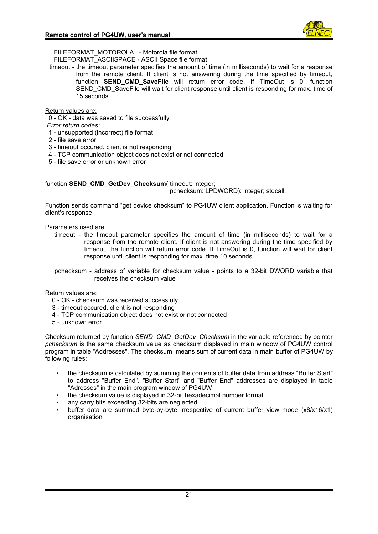FILEFORMAT\_MOTOROLA - Motorola file format

FILEFORMAT\_ASCIISPACE - ASCII Space file format

timeout - the timeout parameter specifies the amount of time (in milliseconds) to wait for a response from the remote client. If client is not answering during the time specified by timeout, function **SEND CMD SaveFile** will return error code. If TimeOut is 0, function SEND\_CMD\_SaveFile will wait for client response until client is responding for max. time of 15 seconds

# Return values are:

- 0 OK data was saved to file successfully
- *Error return codes:*
- 1 unsupported (incorrect) file format
- 2 file save error
- 3 timeout occured, client is not responding
- 4 TCP communication object does not exist or not connected
- 5 file save error or unknown error

function **SEND\_CMD\_GetDev\_Checksum**( timeout: integer; pchecksum: LPDWORD): integer; stdcall;

Function sends command "get device checksum" to PG4UW client application. Function is waiting for client's response.

Parameters used are:

timeout - the timeout parameter specifies the amount of time (in milliseconds) to wait for a response from the remote client. If client is not answering during the time specified by timeout, the function will return error code. If TimeOut is 0, function will wait for client response until client is responding for max. time 10 seconds.

pchecksum - address of variable for checksum value - points to a 32-bit DWORD variable that receives the checksum value

# Return values are:

- 0 OK checksum was received successfuly
- 3 timeout occured, client is not responding
- 4 TCP communication object does not exist or not connected
- 5 unknown error

Checksum returned by function *SEND\_CMD\_GetDev\_Checksum* in the variable referenced by pointer *pchecksum* is the same checksum value as checksum displayed in main window of PG4UW control program in table "Addresses". The checksum means sum of current data in main buffer of PG4UW by following rules:

- the checksum is calculated by summing the contents of buffer data from address "Buffer Start" to address "Buffer End". "Buffer Start" and "Buffer End" addresses are displayed in table "Adresses" in the main program window of PG4UW
- the checksum value is displayed in 32-bit hexadecimal number format
- any carry bits exceeding 32-bits are neglected
- buffer data are summed byte-by-byte irrespective of current buffer view mode (x8/x16/x1) organisation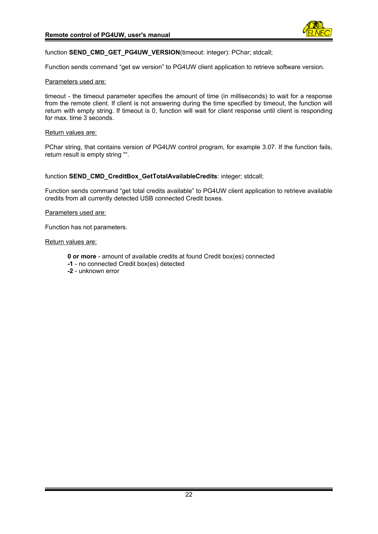

#### function **SEND\_CMD\_GET\_PG4UW\_VERSION**(timeout: integer): PChar; stdcall;

Function sends command "get sw version" to PG4UW client application to retrieve software version.

#### Parameters used are:

timeout - the timeout parameter specifies the amount of time (in milliseconds) to wait for a response from the remote client. If client is not answering during the time specified by timeout, the function will return with empty string. If timeout is 0, function will wait for client response until client is responding for max. time 3 seconds.

#### Return values are:

PChar string, that contains version of PG4UW control program, for example 3.07. If the function fails, return result is empty string "".

function **SEND\_CMD\_CreditBox\_GetTotalAvailableCredits**: integer; stdcall;

Function sends command "get total credits available" to PG4UW client application to retrieve available credits from all currently detected USB connected Credit boxes.

#### Parameters used are:

Function has not parameters.

#### Return values are:

- **0 or more** amount of available credits at found Credit box(es) connected
- **-1** no connected Credit box(es) detected
- **-2** unknown error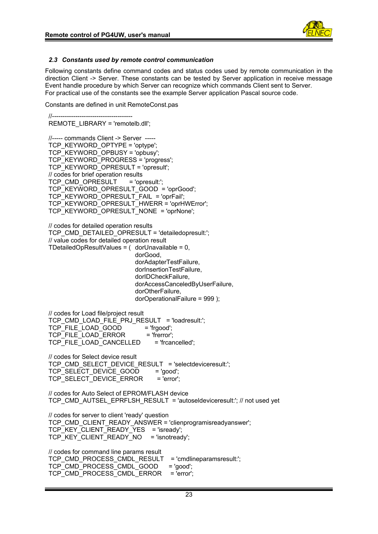

# <span id="page-22-0"></span>*2.3 Constants used by remote control communication*

Following constants define command codes and status codes used by remote communication in the direction Client -> Server. These constants can be tested by Server application in receive message Event handle procedure by which Server can recognize which commands Client sent to Server. For practical use of the constants see the example Server application Pascal source code.

Constants are defined in unit RemoteConst.pas

 //-------------------------------------- REMOTE\_LIBRARY = 'remotelb.dll'; //----- commands Client -> Server ----- TCP\_KEYWORD\_OPTYPE = 'optype'; TCP\_KEYWORD\_OPBUSY = 'opbusy'; TCP\_KEYWORD\_PROGRESS = 'progress'; TCP\_KEYWORD\_OPRESULT = 'opresult'; // codes for brief operation results TCP\_CMD\_OPRESULT = 'opresult:'; TCP\_KEYWORD\_OPRESULT\_GOOD = 'oprGood'; TCP\_KEYWORD\_OPRESULT\_FAIL = 'oprFail'; TCP\_KEYWORD\_OPRESULT\_HWERR = 'oprHWError'; TCP\_KEYWORD\_OPRESULT\_NONE = 'oprNone'; // codes for detailed operation results TCP\_CMD\_DETAILED\_OPRESULT = 'detailedopresult:': // value codes for detailed operation result TDetailedOpResultValues =  $($  dorUnavailable = 0, dorGood, dorAdapterTestFailure, dorInsertionTestFailure, dorIDCheckFailure, dorAccessCanceledByUserFailure, dorOtherFailure, dorOperationalFailure = 999 ); // codes for Load file/project result TCP\_CMD\_LOAD\_FILE\_PRJ\_RESULT = 'loadresult:'; TCP\_FILE\_LOAD\_GOOD = 'frgood'; TCP\_FILE\_LOAD\_ERROR = 'frerror'; TCP\_FILE\_LOAD\_CANCELLED = 'frcancelled'; // codes for Select device result TCP\_CMD\_SELECT\_DEVICE\_RESULT = 'selectdeviceresult:'; TCP\_SELECT\_DEVICE\_GOOD = 'good'; TCP\_SELECT\_DEVICE\_ERROR = 'error'; // codes for Auto Select of EPROM/FLASH device TCP\_CMD\_AUTSEL\_EPRFLSH\_RESULT = 'autoseldeviceresult:'; // not used yet // codes for server to client 'ready' question TCP\_CMD\_CLIENT\_READY\_ANSWER = 'clienprogramisreadyanswer'; TCP\_KEY\_CLIENT\_READY\_YES = 'isready'; TCP\_KEY\_CLIENT\_READY\_NO = 'isnotready'; // codes for command line params result TCP\_CMD\_PROCESS\_CMDL\_RESULT = 'cmdlineparamsresult:'; TCP\_CMD\_PROCESS\_CMDL\_GOOD = 'good'; TCP\_CMD\_PROCESS\_CMDL\_ERROR = 'error';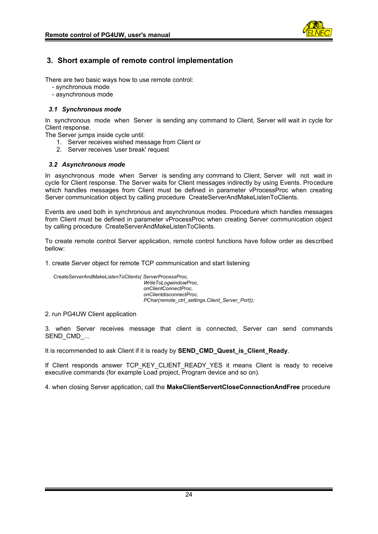

# <span id="page-23-2"></span>**3. Short example of remote control implementation**

There are two basic ways how to use remote control:

- synchronous mode
- asynchronous mode

# <span id="page-23-1"></span>*3.1 Synchronous mode*

In synchronous mode when Server is sending any command to Client, Server will wait in cycle for Client response.

The Server jumps inside cycle until:

- 1. Server receives wished message from Client or
- 2. Server receives 'user break' request

# <span id="page-23-0"></span>*3.2 Asynchronous mode*

In asynchronous mode when Server is sending any command to Client, Server will not wait in cycle for Client response. The Server waits for Client messages indirectly by using Events. Procedure which handles messages from Client must be defined in parameter vProcessProc when creating Server communication object by calling procedure CreateServerAndMakeListenToClients.

Events are used both in synchronous and asynchronous modes. Procedure which handles messages from Client must be defined in parameter vProcessProc when creating Server communication object by calling procedure CreateServerAndMakeListenToClients.

To create remote control Server application, remote control functions have follow order as described bellow:

1. create Server object for remote TCP communication and start listening

*CreateServerAndMakeListenToClients( ServerProcessProc, WriteToLogwindowProc, onClientConnectProc, onClientdisconnectProc, PChar(remote\_ctrl\_settings.Client\_Server\_Port));*

# 2. run PG4UW Client application

3. when Server receives message that client is connected, Server can send commands SEND\_CMD\_...

It is recommended to ask Client if it is ready by **SEND\_CMD\_Quest\_is\_Client\_Ready**.

If Client responds answer TCP KEY CLIENT READY YES it means Client is ready to receive executive commands (for example Load project, Program device and so on).

4. when closing Server application, call the **MakeClientServertCloseConnectionAndFree** procedure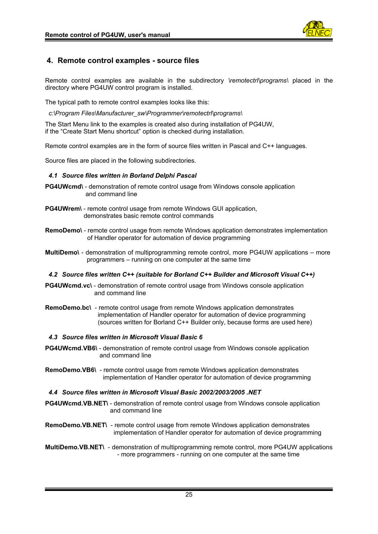

# <span id="page-24-4"></span>**4. Remote control examples - source files**

Remote control examples are available in the subdirectory *\remotectrl\programs\* placed in the directory where PG4UW control program is installed.

The typical path to remote control examples looks like this:

*c:\Program Files\Manufacturer\_sw\Programmer\remotectrl\programs\*

The Start Menu link to the examples is created also during installation of PG4UW, if the "Create Start Menu shortcut" option is checked during installation.

Remote control examples are in the form of source files written in Pascal and C++ languages.

Source files are placed in the following subdirectories.

# <span id="page-24-3"></span>*4.1 Source files written in Borland Delphi Pascal*

- **PG4UWcmd\** demonstration of remote control usage from Windows console application and command line
- **PG4UWrem\** remote control usage from remote Windows GUI application, demonstrates basic remote control commands
- **RemoDemo\** remote control usage from remote Windows application demonstrates implementation of Handler operator for automation of device programming
- **MultiDemo**\ demonstration of multiprogramming remote control, more PG4UW applications more programmers – running on one computer at the same time

# <span id="page-24-2"></span>*4.2 Source files written C++ (suitable for Borland C++ Builder and Microsoft Visual C++)*

- **PG4UWcmd.vc\** demonstration of remote control usage from Windows console application and command line
- **RemoDemo.bc\** remote control usage from remote Windows application demonstrates implementation of Handler operator for automation of device programming (sources written for Borland C++ Builder only, because forms are used here)

#### <span id="page-24-1"></span>*4.3 Source files written in Microsoft Visual Basic 6*

- **PG4UWcmd.VB6\** demonstration of remote control usage from Windows console application and command line
- **RemoDemo.VB6\** remote control usage from remote Windows application demonstrates implementation of Handler operator for automation of device programming

#### <span id="page-24-0"></span>*4.4 Source files written in Microsoft Visual Basic 2002/2003/2005 .NET*

- **PG4UWcmd.VB.NET\** demonstration of remote control usage from Windows console application and command line
- **RemoDemo.VB.NET\** remote control usage from remote Windows application demonstrates implementation of Handler operator for automation of device programming
- **MultiDemo.VB.NET\** demonstration of multiprogramming remote control, more PG4UW applications - more programmers - running on one computer at the same time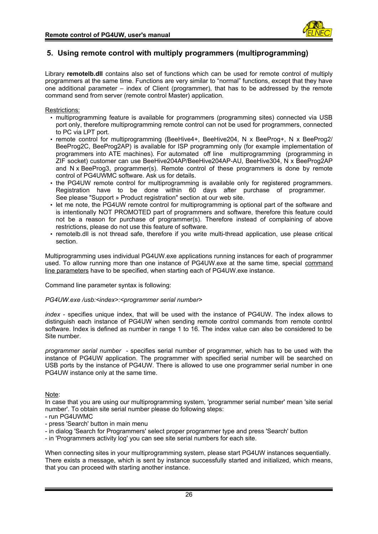

# <span id="page-25-0"></span>**5. Using remote control with multiply programmers (multiprogramming)**

Library **remotelb.dll** contains also set of functions which can be used for remote control of multiply programmers at the same time. Functions are very similar to "normal" functions, except that they have one additional parameter – index of Client (programmer), that has to be addressed by the remote command send from server (remote control Master) application.

# Restrictions:

- multiprogramming feature is available for programmers (programming sites) connected via USB port only, therefore multiprogramming remote control can not be used for programmers, connected to PC via LPT port.
- remote control for multiprogramming (BeeHive4+, BeeHive204, N x BeeProg+, N x BeeProg2/ BeeProg2C, BeeProg2AP) is available for ISP programming only (for example implementation of programmers into ATE machines). For automated off line multiprogramming (programming in ZIF socket) customer can use BeeHive204AP/BeeHive204AP-AU, BeeHive304, N x BeeProg2AP and N x BeeProg3, programmer(s). Remote control of these programmers is done by remote control of PG4UWMC software. Ask us for details.
- the PG4UW remote control for multiprogramming is available only for registered programmers. Registration have to be done within 60 days after purchase of programmer. See please "Support » Product registration" section at our web site.
- let me note, the PG4UW remote control for multiprogramming is optional part of the software and is intentionally NOT PROMOTED part of programmers and software, therefore this feature could not be a reason for purchase of programmer(s). Therefore instead of complaining of above restrictions, please do not use this feature of software.
- remotelb.dll is not thread safe, therefore if you write multi-thread application, use please critical section.

Multiprogramming uses individual PG4UW.exe applications running instances for each of programmer used. To allow running more than one instance of PG4UW.exe at the same time, special command line parameters have to be specified, when starting each of PG4UW.exe instance.

Command line parameter syntax is following:

# *PG4UW.exe /usb:<index>:<programmer serial number>*

*index* - specifies unique index, that will be used with the instance of PG4UW. The index allows to distinguish each instance of PG4UW when sending remote control commands from remote control software. Index is defined as number in range 1 to 16. The index value can also be considered to be Site number.

*programmer serial number* - specifies serial number of programmer, which has to be used with the instance of PG4UW application. The programmer with specified serial number will be searched on USB ports by the instance of PG4UW. There is allowed to use one programmer serial number in one PG4UW instance only at the same time.

Note:

In case that you are using our multiprogramming system, 'programmer serial number' mean 'site serial number'. To obtain site serial number please do following steps:

- run PG4UWMC
- press 'Search' button in main menu
- in dialog 'Search for Programmers' select proper programmer type and press 'Search' button
- in 'Programmers activity log' you can see site serial numbers for each site.

When connecting sites in your multiprogramming system, please start PG4UW instances sequentially. There exists a message, which is sent by instance successfully started and initialized, which means, that you can proceed with starting another instance.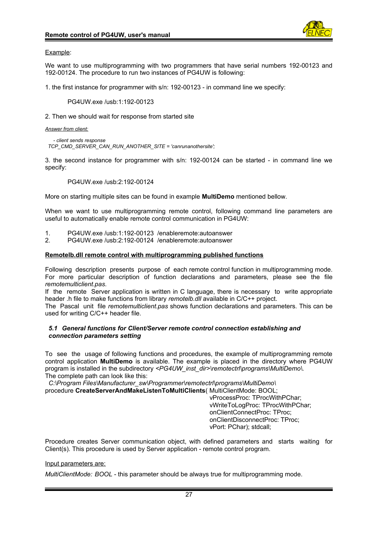

#### Example:

We want to use multiprogramming with two programmers that have serial numbers 192-00123 and 192-00124. The procedure to run two instances of PG4UW is following:

1. the first instance for programmer with s/n: 192-00123 - in command line we specify:

PG4UW.exe /usb:1:192-00123

2. Then we should wait for response from started site

*Answer from client:*

*- client sends response TCP\_CMD\_SERVER\_CAN\_RUN\_ANOTHER\_SITE = 'canrunanothersite';*

3. the second instance for programmer with s/n: 192-00124 can be started - in command line we specify:

PG4UW.exe /usb:2:192-00124

More on starting multiple sites can be found in example **MultiDemo** mentioned bellow.

When we want to use multiprogramming remote control, following command line parameters are useful to automatically enable remote control communication in PG4UW:

- 1. PG4UW.exe /usb:1:192-00123 /enableremote:autoanswer
- 2. PG4UW.exe /usb:2:192-00124 /enableremote:autoanswer

# **Remotelb.dll remote control with multiprogramming published functions**

Following description presents purpose of each remote control function in multiprogramming mode. For more particular description of function declarations and parameters, please see the file *remotemulticlient.pas*.

If the remote Server application is written in C language, there is necessary to write appropriate header .h file to make functions from library *remotelb.dll* available in C/C++ project.

The Pascal unit file *remotemulticlient.pas* shows function declarations and parameters. This can be used for writing C/C++ header file.

#### <span id="page-26-0"></span>*5.1 General functions for Client/Server remote control connection establishing and connection parameters setting*

To see the usage of following functions and procedures, the example of multiprogramming remote control application **MultiDemo** is available. The example is placed in the directory where PG4UW program is installed in the subdirectory <PG4UW\_inst\_dir>\remotectrl\programs\MultiDemo\. The complete path can look like this:

 *C:\Program Files\Manufacturer\_sw\Programmer\remotectrl\programs\MultiDemo\* procedure **CreateServerAndMakeListenToMultiClients**( MultiClientMode: BOOL;

 vProcessProc: TProcWithPChar; vWriteToLogProc: TProcWithPChar; onClientConnectProc: TProc; onClientDisconnectProc: TProc; vPort: PChar); stdcall;

Procedure creates Server communication object, with defined parameters and starts waiting for Client(s). This procedure is used by Server application - remote control program.

Input parameters are:

*MultiClientMode: BOOL* - this parameter should be always true for multiprogramming mode.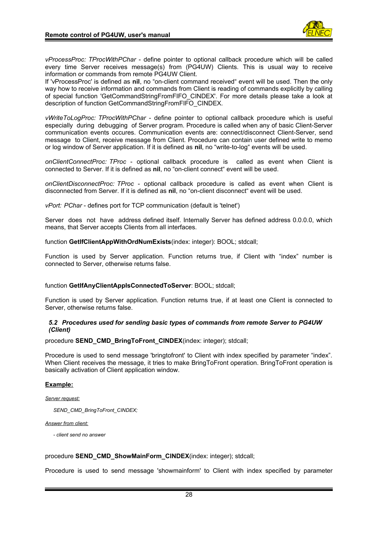

*vProcessProc: TProcWithPChar* - define pointer to optional callback procedure which will be called every time Server receives message(s) from (PG4UW) Clients. This is usual way to receive information or commands from remote PG4UW Client.

If 'vProcessProc' is defined as **nil**, no "on-client command received" event will be used. Then the only way how to receive information and commands from Client is reading of commands explicitly by calling of special function 'GetCommandStringFromFIFO\_CINDEX'. For more details please take a look at description of function GetCommandStringFromFIFO\_CINDEX.

*vWriteToLogProc: TProcWithPChar* - define pointer to optional callback procedure which is useful especially during debugging of Server program. Procedure is called when any of basic Client-Server communication events occures. Communication events are: connect/disconnect Client-Server, send message to Client, receive message from Client. Procedure can contain user defined write to memo or log window of Server application. If it is defined as **nil**, no "write-to-log" events will be used.

*onClientConnectProc: TProc* - optional callback procedure is called as event when Client is connected to Server. If it is defined as **nil**, no "on-client connect" event will be used.

*onClientDisconnectProc: TProc* - optional callback procedure is called as event when Client is disconnected from Server. If it is defined as **nil**, no "on-client disconnect" event will be used.

*vPort: PChar* - defines port for TCP communication (default is 'telnet')

Server does not have address defined itself. Internally Server has defined address 0.0.0.0, which means, that Server accepts Clients from all interfaces.

function **GetIfClientAppWithOrdNumExists**(index: integer): BOOL; stdcall;

Function is used by Server application. Function returns true, if Client with "index" number is connected to Server, otherwise returns false.

# function **GetIfAnyClientAppIsConnectedToServer**: BOOL; stdcall;

Function is used by Server application. Function returns true, if at least one Client is connected to Server, otherwise returns false.

#### <span id="page-27-0"></span>*5.2 Procedures used for sending basic types of commands from remote Server to PG4UW (Client)*

#### procedure **SEND\_CMD\_BringToFront\_CINDEX**(index: integer); stdcall;

Procedure is used to send message 'bringtofront' to Client with index specified by parameter "index". When Client receives the message, it tries to make BringToFront operation. BringToFront operation is basically activation of Client application window.

# **Example:**

*Server request:*

*SEND\_CMD\_BringToFront\_CINDEX;*

#### *Answer from client:*

*- client send no answer*

#### procedure **SEND\_CMD\_ShowMainForm\_CINDEX**(index: integer); stdcall;

Procedure is used to send message 'showmainform' to Client with index specified by parameter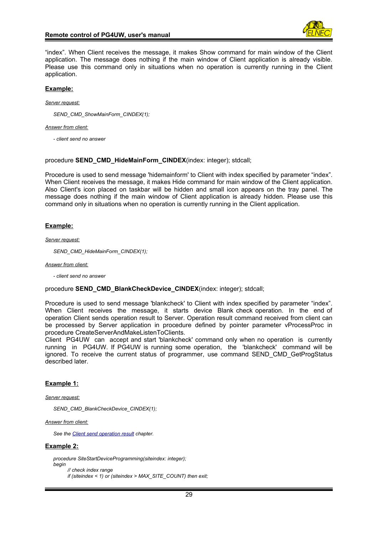

"index". When Client receives the message, it makes Show command for main window of the Client application. The message does nothing if the main window of Client application is already visible. Please use this command only in situations when no operation is currently running in the Client application.

#### **Example:**

*Server request:*

*SEND\_CMD\_ShowMainForm\_CINDEX(1);*

#### *Answer from client:*

*- client send no answer*

#### procedure **SEND\_CMD\_HideMainForm\_CINDEX**(index: integer); stdcall;

Procedure is used to send message 'hidemainform' to Client with index specified by parameter "index". When Client receives the message, it makes Hide command for main window of the Client application. Also Client's icon placed on taskbar will be hidden and small icon appears on the tray panel. The message does nothing if the main window of Client application is already hidden. Please use this command only in situations when no operation is currently running in the Client application.

# **Example:**

*Server request:*

*SEND\_CMD\_HideMainForm\_CINDEX(1);*

*Answer from client:*

*- client send no answer*

#### procedure **SEND\_CMD\_BlankCheckDevice\_CINDEX**(index: integer); stdcall;

Procedure is used to send message 'blankcheck' to Client with index specified by parameter "index". When Client receives the message, it starts device Blank check operation. In the end of operation Client sends operation result to Server. Operation result command received from client can be processed by Server application in procedure defined by pointer parameter vProcessProc in procedure CreateServerAndMakeListenToClients.

Client PG4UW can accept and start 'blankcheck' command only when no operation is currently running in PG4UW. If PG4UW is running some operation, the 'blankcheck' command will be ignored. To receive the current status of programmer, use command SEND\_CMD\_GetProgStatus described later.

# **Example 1:**

*Server request:*

*SEND\_CMD\_BlankCheckDevice\_CINDEX(1);*

*Answer from client:*

*See the [Client send operation result](#page-31-0) chapter.*

#### **Example 2:**

```
procedure SiteStartDeviceProgramming(siteindex: integer);
begin
       // check index range
```

```
 if (siteindex < 1) or (siteindex > MAX_SITE_COUNT) then exit;
```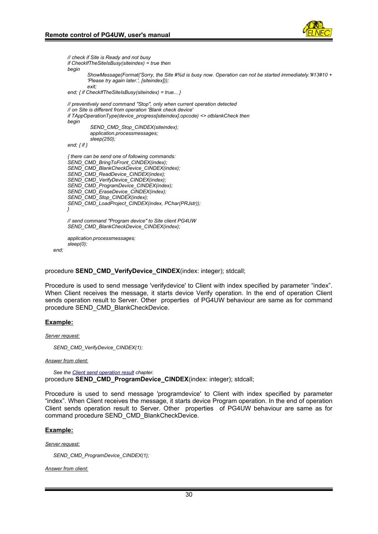

```
 // check if Site is Ready and not busy
         if CheckIfTheSiteIsBusy(siteindex) = true then
          begin
                  ShowMessage(Format('Sorry, the Site #%d is busy now. Operation can not be started immediately.'#13#10 +
                  'Please try again later.', [siteindex]));
                  exit;
          end; { if CheckIfTheSiteIsBusy(siteindex) = true... }
         // preventively send command "Stop", only when current operation detected
         // on Site is different from operation 'Blank check device'
          if TAppOperationType(device_progress[siteindex].opcode) <> otblankCheck then
          begin
                   SEND_CMD_Stop_CINDEX(siteindex); 
                  application.processmessages;
                   sleep(250);
          end; { if }
          { there can be send one of following commands:
          SEND_CMD_BringToFront_CINDEX(index);
          SEND_CMD_BlankCheckDevice_CINDEX(index);
          SEND_CMD_ReadDevice_CINDEX(index);
          SEND_CMD_VerifyDevice_CINDEX(index);
          SEND_CMD_ProgramDevice_CINDEX(index);
          SEND_CMD_EraseDevice_CINDEX(index);
          SEND_CMD_Stop_CINDEX(index);
          SEND_CMD_LoadProject_CINDEX(index, PChar(PRJstr));
 }
         // send command "Program device" to Site client PG4UW
          SEND_CMD_BlankCheckDevice_CINDEX(index);
          application.processmessages;
          sleep(0);
   end;
```
procedure **SEND\_CMD\_VerifyDevice\_CINDEX**(index: integer); stdcall;

Procedure is used to send message 'verifydevice' to Client with index specified by parameter "index". When Client receives the message, it starts device Verify operation. In the end of operation Client sends operation result to Server. Other properties of PG4UW behaviour are same as for command procedure SEND\_CMD\_BlankCheckDevice.

# **Example:**

*Server request:*

*SEND\_CMD\_VerifyDevice\_CINDEX(1);*

#### *Answer from client:*

*See the [Client send operation result](#page-31-0) chapter.* procedure **SEND\_CMD\_ProgramDevice\_CINDEX**(index: integer); stdcall;

Procedure is used to send message 'programdevice' to Client with index specified by parameter "index". When Client receives the message, it starts device Program operation. In the end of operation Client sends operation result to Server. Other properties of PG4UW behaviour are same as for command procedure SEND\_CMD\_BlankCheckDevice.

#### **Example:**

*Server request:*

*SEND\_CMD\_ProgramDevice\_CINDEX(1);*

*Answer from client:*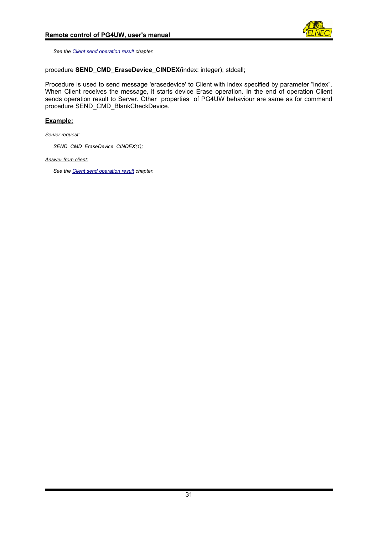

*See the [Client send operation result](#page-31-0) chapter.*

# procedure **SEND\_CMD\_EraseDevice\_CINDEX**(index: integer); stdcall;

Procedure is used to send message 'erasedevice' to Client with index specified by parameter "index". When Client receives the message, it starts device Erase operation. In the end of operation Client sends operation result to Server. Other properties of PG4UW behaviour are same as for command procedure SEND\_CMD\_BlankCheckDevice.

# **Example:**

*Server request:*

*SEND\_CMD\_EraseDevice\_CINDEX(1);*

*Answer from client:*

*See the [Client send operation result](#page-31-0) chapter.*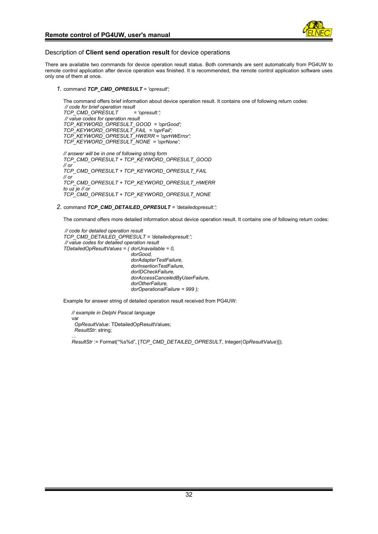

#### <span id="page-31-0"></span>Description of **Client send operation result** for device operations

There are available two commands for device operation result status. Both commands are sent automatically from PG4UW to remote control application after device operation was finished. It is recommended, the remote control application software uses only one of them at once.

*1.* command *TCP\_CMD\_OPRESULT = 'opresult';*

The command offers brief information about device operation result. It contains one of following return codes: *// code for brief operation result TCP\_CMD\_OPRESULT = 'opresult:'; // value codes for operation result TCP\_KEYWORD\_OPRESULT\_GOOD = 'oprGood'; TCP\_KEYWORD\_OPRESULT\_FAIL = 'oprFail'; TCP\_KEYWORD\_OPRESULT\_HWERR = 'oprHWError'; TCP\_KEYWORD\_OPRESULT\_NONE = 'oprNone';*

*// answer will be in one of following string form TCP\_CMD\_OPRESULT + TCP\_KEYWORD\_OPRESULT\_GOOD // or TCP\_CMD\_OPRESULT + TCP\_KEYWORD\_OPRESULT\_FAIL // or TCP\_CMD\_OPRESULT + TCP\_KEYWORD\_OPRESULT\_HWERR to uz je // or TCP\_CMD\_OPRESULT + TCP\_KEYWORD\_OPRESULT\_NONE*

*2.* command *TCP\_CMD\_DETAILED\_OPRESULT = 'detailedopresult:';*

The command offers more detailed information about device operation result. It contains one of following return codes:

*// code for detailed operation result TCP\_CMD\_DETAILED\_OPRESULT = 'detailedopresult:'; // value codes for detailed operation result TDetailedOpResultValues = ( dorUnavailable = 0, dorGood, dorAdapterTestFailure, dorInsertionTestFailure, dorIDCheckFailure, dorAccessCanceledByUserFailure, dorOtherFailure, dorOperationalFailure = 999 );*

Example for answer string of detailed operation result received from PG4UW:

*// example in Delphi Pascal language* var *OpResultValue*: TDetailedOpResultValues; *ResultStr*: string;

... *ResultStr* := Format("%s%d", [*TCP\_CMD\_DETAILED\_OPRESULT*, Integer(*OpResultValue*)]);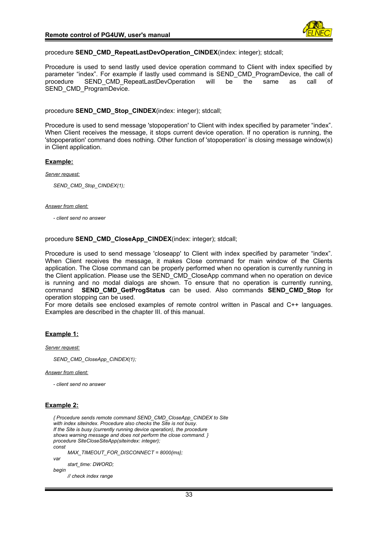

# procedure **SEND\_CMD\_RepeatLastDevOperation\_CINDEX**(index: integer); stdcall;

Procedure is used to send lastly used device operation command to Client with index specified by parameter "index". For example if lastly used command is SEND\_CMD\_ProgramDevice, the call of procedure SEND\_CMD\_RepeatLastDevOperation will be the same as call of SEND\_CMD\_ProgramDevice.

procedure **SEND\_CMD\_Stop\_CINDEX**(index: integer); stdcall;

Procedure is used to send message 'stopoperation' to Client with index specified by parameter "index". When Client receives the message, it stops current device operation. If no operation is running, the 'stopoperation' command does nothing. Other function of 'stopoperation' is closing message window(s) in Client application.

#### **Example:**

#### *Server request:*

*SEND\_CMD\_Stop\_CINDEX(1);*

#### *Answer from client:*

*- client send no answer*

#### procedure **SEND\_CMD\_CloseApp\_CINDEX**(index: integer); stdcall;

Procedure is used to send message 'closeapp' to Client with index specified by parameter "index". When Client receives the message, it makes Close command for main window of the Clients application. The Close command can be properly performed when no operation is currently running in the Client application. Please use the SEND\_CMD\_CloseApp command when no operation on device is running and no modal dialogs are shown. To ensure that no operation is currently running, command **SEND\_CMD\_GetProgStatus** can be used. Also commands **SEND\_CMD\_Stop** for operation stopping can be used.

For more details see enclosed examples of remote control written in Pascal and C++ languages. Examples are described in the chapter III. of this manual.

# **Example 1:**

*Server request:*

*SEND\_CMD\_CloseApp\_CINDEX(1);*

*Answer from client:*

*- client send no answer*

# **Example 2:**

```
{ Procedure sends remote command SEND_CMD_CloseApp_CINDEX to Site
 with index siteindex. Procedure also checks the Site is not busy.
 If the Site is busy (currently running device operation), the procedure
 shows warning message and does not perform the close command. }
procedure SiteCloseSiteApp(siteindex: integer);
const
       MAX_TIMEOUT_FOR_DISCONNECT = 8000{ms};
var
       start_time: DWORD;
begin
      // check index range
```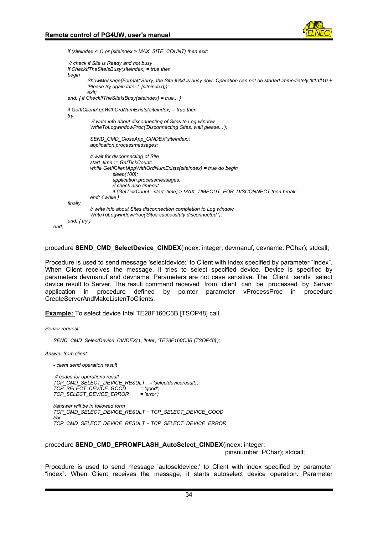

 *if (siteindex < 1) or (siteindex > MAX\_SITE\_COUNT) then exit; // check if Site is Ready and not busy if CheckIfTheSiteIsBusy(siteindex) = true then begin ShowMessage(Format('Sorry, the Site #%d is busy now. Operation can not be started immediately.'#13#10 + 'Please try again later.', [siteindex])); exit; end; { if CheckIfTheSiteIsBusy(siteindex) = true... } if GetIfClientAppWithOrdNumExists(siteindex) = true then try // write info about disconnecting of Sites to Log window WriteToLogwindowProc('Disconnecting Sites, wait please...'); SEND\_CMD\_CloseApp\_CINDEX(siteindex); application.processmessages; // wait for disconnecting of Site start\_time := GetTickCount; while GetIfClientAppWithOrdNumExists(siteindex) = true do begin sleep(100); application.processmessages; // check also timeout if (GetTickCount - start\_time) > MAX\_TIMEOUT\_FOR\_DISCONNECT then break; end; { while } finally // write info about Sites disconnection completion to Log window WriteToLogwindowProc('Sites successfuly disconnected.'); end; { try } end;*

procedure **SEND\_CMD\_SelectDevice\_CINDEX**(index: integer; devmanuf, devname: PChar); stdcall;

Procedure is used to send message 'selectdevice:' to Client with index specified by parameter "index". When Client receives the message, it tries to select specified device. Device is specified by parameters devmanuf and devname. Parameters are not case sensitive. The Client sends select device result to Server. The result command received from client can be processed by Server application in procedure defined by pointer parameter vProcessProc in procedure CreateServerAndMakeListenToClients.

 **Example:** To select device Intel TE28F160C3B [TSOP48] call

*Server request:*

*SEND\_CMD\_SelectDevice\_CINDEX(1, 'Intel', 'TE28F160C3B [TSOP48]');*

*Answer from client:*

*- client send operation result*

 *// codes for operations result TCP\_CMD\_SELECT\_DEVICE\_RESULT = 'selectdeviceresult:'; TCP\_SELECT\_DEVICE\_GOOD = 'good'; TCP\_SELECT\_DEVICE\_ERROR = 'error';*

```
//answer will be in followed form
TCP_CMD_SELECT_DEVICE_RESULT + TCP_SELECT_DEVICE_GOOD
//or
TCP_CMD_SELECT_DEVICE_RESULT + TCP_SELECT_DEVICE_ERROR
```
procedure **SEND\_CMD\_EPROMFLASH\_AutoSelect\_CINDEX**(index: integer;

pinsnumber: PChar); stdcall;

Procedure is used to send message 'autoseldevice:' to Client with index specified by parameter "index". When Client receives the message, it starts autoselect device operation. Parameter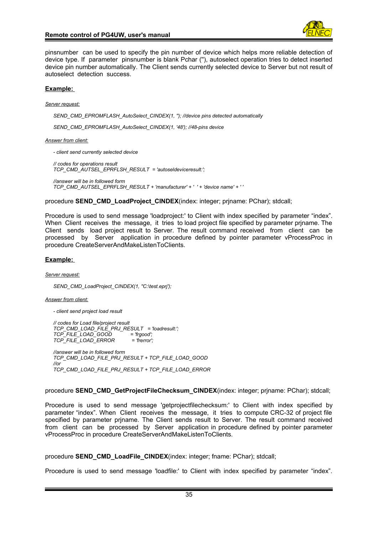

pinsnumber can be used to specify the pin number of device which helps more reliable detection of device type. If parameter pinsnumber is blank Pchar (''), autoselect operation tries to detect inserted device pin number automatically. The Client sends currently selected device to Server but not result of autoselect detection success.

#### **Example:**

*Server request:*

*SEND\_CMD\_EPROMFLASH\_AutoSelect\_CINDEX(1, ''); //device pins detected automatically*

*SEND\_CMD\_EPROMFLASH\_AutoSelect\_CINDEX(1, '48'); //48-pins device*

#### *Answer from client:*

*- client send currently selected device*

*// codes for operations result TCP\_CMD\_AUTSEL\_EPRFLSH\_RESULT = 'autoseldeviceresult:';*

*//answer will be in followed form TCP\_CMD\_AUTSEL\_EPRFLSH\_RESULT + 'manufacturer' + ' ' + 'device name' + ' '*

procedure **SEND\_CMD\_LoadProject\_CINDEX**(index: integer; prjname: PChar); stdcall;

Procedure is used to send message 'loadproject:' to Client with index specified by parameter "index". When Client receives the message, it tries to load project file specified by parameter prjname. The Client sends load project result to Server. The result command received from client can be processed by Server application in procedure defined by pointer parameter vProcessProc in procedure CreateServerAndMakeListenToClients.

# **Example:**

*Server request:*

*SEND\_CMD\_LoadProject\_CINDEX(1, ''C:\test.eprj');* 

*Answer from client:*

*- client send project load result*

 *// codes for Load file/project result TCP\_CMD\_LOAD\_FILE\_PRJ\_RESULT = 'loadresult:'; TCP\_FILE\_LOAD\_GOOD = 'frgood'; TCP\_FILE\_LOAD\_ERROR = 'frerror'; //answer will be in followed form TCP\_CMD\_LOAD\_FILE\_PRJ\_RESULT + TCP\_FILE\_LOAD\_GOOD //or*

*TCP\_CMD\_LOAD\_FILE\_PRJ\_RESULT + TCP\_FILE\_LOAD\_ERROR*

procedure **SEND\_CMD\_GetProjectFileChecksum\_CINDEX**(index: integer; prjname: PChar); stdcall;

Procedure is used to send message 'getprojectfilechecksum:' to Client with index specified by parameter "index". When Client receives the message, it tries to compute CRC-32 of project file specified by parameter prjname. The Client sends result to Server. The result command received from client can be processed by Server application in procedure defined by pointer parameter vProcessProc in procedure CreateServerAndMakeListenToClients.

procedure **SEND\_CMD\_LoadFile\_CINDEX**(index: integer; fname: PChar); stdcall;

Procedure is used to send message 'loadfile:' to Client with index specified by parameter "index".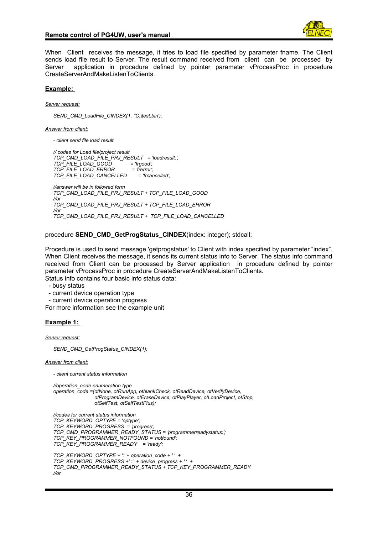

When Client receives the message, it tries to load file specified by parameter fname. The Client sends load file result to Server. The result command received from client can be processed by Server application in procedure defined by pointer parameter vProcessProc in procedure CreateServerAndMakeListenToClients.

#### **Example:**

*Server request:*

*SEND\_CMD\_LoadFile\_CINDEX(1, ''C:\test.bin');* 

*Answer from client:*

*- client send file load result*

 *// codes for Load file/project result TCP\_CMD\_LOAD\_FILE\_PRJ\_RESULT = 'loadresult:'; TCP\_FILE\_LOAD\_GOOD = 'frgood'; TCP\_FILE\_LOAD\_ERROR = 'frerror'; TCP\_FILE\_LOAD\_CANCELLED = 'frcancelled'; //answer will be in followed form TCP\_CMD\_LOAD\_FILE\_PRJ\_RESULT + TCP\_FILE\_LOAD\_GOOD //or TCP\_CMD\_LOAD\_FILE\_PRJ\_RESULT + TCP\_FILE\_LOAD\_ERROR //or TCP\_CMD\_LOAD\_FILE\_PRJ\_RESULT + TCP\_FILE\_LOAD\_CANCELLED*

procedure **SEND CMD GetProgStatus CINDEX**(index: integer); stdcall;

Procedure is used to send message 'getprogstatus' to Client with index specified by parameter "index". When Client receives the message, it sends its current status info to Server. The status info command received from Client can be processed by Server application in procedure defined by pointer parameter vProcessProc in procedure CreateServerAndMakeListenToClients. Status info contains four basic info status data:

- busy status

- current device operation type
- current device operation progress

For more information see the example unit

#### **Example 1:**

*Server request:*

*SEND\_CMD\_GetProgStatus\_CINDEX(1);*

*Answer from client:*

*- client current status information*

*//operation\_code enumeration type operation\_code =(otNone, otRunApp, otblankCheck, otReadDevice, otVerifyDevice, otProgramDevice, otEraseDevice, otPlayPlayer, otLoadProject, otStop, otSelfTest, otSelfTestPlus);*

*//codes for current status information TCP\_KEYWORD\_OPTYPE = 'optype'; TCP\_KEYWORD\_PROGRESS = 'progress'; TCP\_CMD\_PROGRAMMER\_READY\_STATUS = 'programmerreadystatus:'; TCP\_KEY\_PROGRAMMER\_NOTFOUND = 'notfound'; TCP\_KEY\_PROGRAMMER\_READY = 'ready'; TCP\_KEYWORD\_OPTYPE + ':' + operation\_code + ' ' + TCP\_KEYWORD\_PROGRESS +' :' + device\_progress + ' ' + TCP\_CMD\_PROGRAMMER\_READY\_STATUS + TCP\_KEY\_PROGRAMMER\_READY //or*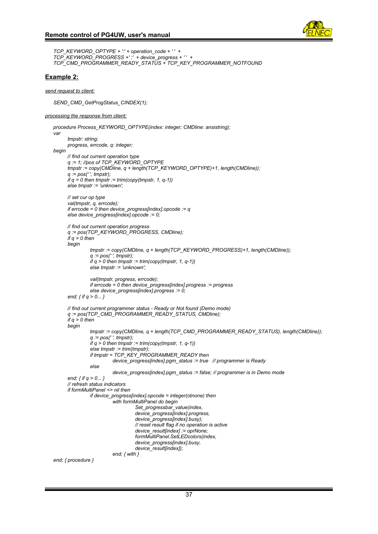

```
TCP_KEYWORD_OPTYPE + ':' + operation_code + ' ' + 
TCP_KEYWORD_PROGRESS +' :' + device_progress + ' ' +
TCP_CMD_PROGRAMMER_READY_STATUS + TCP_KEY_PROGRAMMER_NOTFOUND
```
#### **Example 2:**

*send request to client:*

*SEND\_CMD\_GetProgStatus\_CINDEX(1);*

#### *processing the response from client:*

```
procedure Process_KEYWORD_OPTYPE(index: integer; CMDline: ansistring);
var
       tmpstr: string;
       progress, errcode, q: integer;
begin
       // find out current operation type
       q := 1; //pos of TCP_KEYWORD_OPTYPE
       tmpstr := copy(CMDline, q + length(TCP_KEYWORD_OPTYPE)+1, length(CMDline));
       q := pos(' ', tmpstr);
       if q > 0 then tmpstr := trim(copy(tmpstr, 1, q-1))
       else tmpstr := 'unknown';
       // set cur op type
       val(tmpstr, q, errcode);
       if errcode = 0 then device_progress[index].opcode := q
       else device_progress[index].opcode := 0;
       // find out current operation progress
       q := pos(TCP_KEYWORD_PROGRESS, CMDline);
      if q > 0 then
       begin
                 tmpstr := copy(CMDline, q + length(TCP_KEYWORD_PROGRESS)+1, length(CMDline));
                 q := pos(' ', tmpstr);
                if q > 0 then tmpstr := trim(copy(tmpstr, 1, q-1))
                 else tmpstr := 'unknown';
                 val(tmpstr, progress, errcode);
                 if errcode = 0 then device_progress[index].progress := progress
                 else device_progress[index].progress := 0;
       end; { if q > 0... }
       // find out current programmer status - Ready or Not found (Demo mode)
       q := pos(TCP_CMD_PROGRAMMER_READY_STATUS, CMDline);
       if q > 0 then
       begin
                 tmpstr := copy(CMDline, q + length(TCP_CMD_PROGRAMMER_READY_STATUS), length(CMDline));
                 q := pos(' ', tmpstr);
                if q > 0 then tmpstr := trim(copy(tmpstr, 1, q-1))
                 else tmpstr := trim(tmpstr);
                 if tmpstr = TCP_KEY_PROGRAMMER_READY then
                           device_progress[index].pgm_status := true // programmer is Ready
                 else
                           device_progress[index].pgm_status := false; // programmer is in Demo mode
       end; { if q > 0... }
       // refresh status indicators
       if formMultiPanel <> nil then
                 if device_progress[index].opcode = integer(otnone) then
                           with formMultiPanel do begin
                                     Set_progressbar_value(index,
                                     device_progress[index].progress,
                                     device_progress[index].busy);
                                     // reset result flag if no operation is active
                                     device_result[index] := oprNone;
                                     formMultiPanel.SetLEDcolors(index,
                                     device_progress[index].busy,
                                   device_result[index]);
                           end; { with }
end; { procedure }
```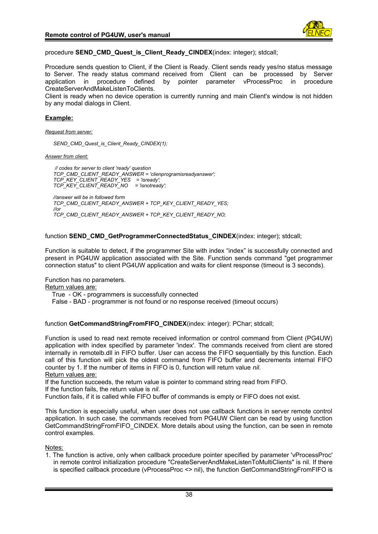

procedure **SEND CMD Quest is Client Ready CINDEX**(index: integer); stdcall;

Procedure sends question to Client, if the Client is Ready. Client sends ready yes/no status message to Server. The ready status command received from Client can be processed by Server application in procedure defined by pointer parameter vProcessProc in procedure CreateServerAndMakeListenToClients.

Client is ready when no device operation is currently running and main Client's window is not hidden by any modal dialogs in Client.

# **Example:**

*Request from server:*

*SEND\_CMD\_Quest\_is\_Client\_Ready\_CINDEX(1);*

*Answer from client:*

 *// codes for server to client 'ready' question TCP\_CMD\_CLIENT\_READY\_ANSWER = 'clienprogramisreadyanswer'; TCP\_KEY\_CLIENT\_READY\_YES = 'isready'; TCP\_KEY\_CLIENT\_READY\_NO = 'isnotready'; //answer will be in followed form TCP\_CMD\_CLIENT\_READY\_ANSWER + TCP\_KEY\_CLIENT\_READY\_YES; //or TCP\_CMD\_CLIENT\_READY\_ANSWER + TCP\_KEY\_CLIENT\_READY\_NO;*

function **SEND\_CMD\_GetProgrammerConnectedStatus\_CINDEX**(index: integer); stdcall;

Function is suitable to detect, if the programmer Site with index "index" is successfully connected and present in PG4UW application associated with the Site. Function sends command "get programmer connection status" to client PG4UW application and waits for client response (timeout is 3 seconds).

Function has no parameters.

Return values are:

True - OK - programmers is successfully connected

False - BAD - programmer is not found or no response received (timeout occurs)

function **GetCommandStringFromFIFO\_CINDEX**(index: integer): PChar; stdcall;

Function is used to read next remote received information or control command from Client (PG4UW) application with index specified by parameter 'index'. The commands received from client are stored internally in remotelb.dll in FIFO buffer. User can access the FIFO sequentially by this function. Each call of this function will pick the oldest command from FIFO buffer and decrements internal FIFO counter by 1. If the number of items in FIFO is 0, function will return value *nil*.

Return values are:

If the function succeeds, the return value is pointer to command string read from FIFO. If the function fails, the return value is *nil*.

Function fails, if it is called while FIFO buffer of commands is empty or FIFO does not exist.

This function is especially useful, when user does not use callback functions in server remote control application. In such case, the commands received from PG4UW Client can be read by using function GetCommandStringFromFIFO\_CINDEX. More details about using the function, can be seen in remote control examples.

Notes:

1. The function is active, only when callback procedure pointer specified by parameter 'vProcessProc' in remote control initialization procedure "CreateServerAndMakeListenToMultiClients" is nil. If there is specified callback procedure (vProcessProc <> nil), the function GetCommandStringFromFIFO is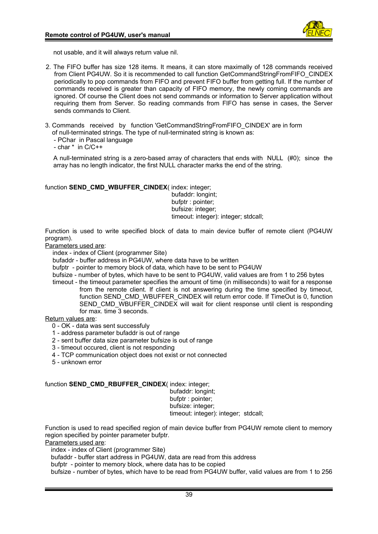

not usable, and it will always return value nil.

- 2. The FIFO buffer has size 128 items. It means, it can store maximally of 128 commands received from Client PG4UW. So it is recommended to call function GetCommandStringFromFIFO\_CINDEX periodically to pop commands from FIFO and prevent FIFO buffer from getting full. If the number of commands received is greater than capacity of FIFO memory, the newly coming commands are ignored. Of course the Client does not send commands or information to Server application without requiring them from Server. So reading commands from FIFO has sense in cases, the Server sends commands to Client.
- 3. Commands received by function 'GetCommandStringFromFIFO\_CINDEX' are in form
	- of null-terminated strings. The type of null-terminated string is known as:
	- PChar in Pascal language
	- char \* in C/C++

A null-terminated string is a zero-based array of characters that ends with NULL (#0); since the array has no length indicator, the first NULL character marks the end of the string.

# function **SEND\_CMD\_WBUFFER\_CINDEX**( index: integer;

 bufaddr: longint; bufptr : pointer; bufsize: integer; timeout: integer): integer; stdcall;

Function is used to write specified block of data to main device buffer of remote client (PG4UW program).

Parameters used are:

index - index of Client (programmer Site)

bufaddr - buffer address in PG4UW, where data have to be written

- bufptr pointer to memory block of data, which have to be sent to PG4UW
- bufsize number of bytes, which have to be sent to PG4UW, valid values are from 1 to 256 bytes
- timeout the timeout parameter specifies the amount of time (in milliseconds) to wait for a response from the remote client. If client is not answering during the time specified by timeout, function SEND\_CMD\_WBUFFER\_CINDEX will return error code. If TimeOut is 0, function SEND CMD WBUFFER CINDEX will wait for client response until client is responding for max. time 3 seconds.

Return values are:

- 0 OK data was sent successfuly
- 1 address parameter bufaddr is out of range
- 2 sent buffer data size parameter bufsize is out of range
- 3 timeout occured, client is not responding
- 4 TCP communication object does not exist or not connected
- 5 unknown error

# function **SEND\_CMD\_RBUFFER\_CINDEX**( index: integer;

 bufaddr: longint; bufptr : pointer; bufsize: integer;

timeout: integer): integer; stdcall;

Function is used to read specified region of main device buffer from PG4UW remote client to memory region specified by pointer parameter bufptr.

Parameters used are:

- index index of Client (programmer Site)
- bufaddr buffer start address in PG4UW, data are read from this address
- bufptr pointer to memory block, where data has to be copied

bufsize - number of bytes, which have to be read from PG4UW buffer, valid values are from 1 to 256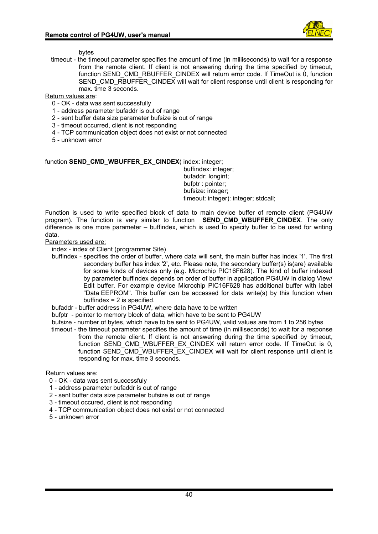

bytes

timeout - the timeout parameter specifies the amount of time (in milliseconds) to wait for a response from the remote client. If client is not answering during the time specified by timeout, function SEND\_CMD\_RBUFFER\_CINDEX will return error code. If TimeOut is 0, function SEND\_CMD\_RBUFFER\_CINDEX will wait for client response until client is responding for max. time 3 seconds.

Return values are:

- 0 OK data was sent successfully
- 1 address parameter bufaddr is out of range
- 2 sent buffer data size parameter bufsize is out of range
- 3 timeout occurred, client is not responding
- 4 TCP communication object does not exist or not connected
- 5 unknown error

# function **SEND\_CMD\_WBUFFER\_EX\_CINDEX**( index: integer;

 buffindex: integer; bufaddr: longint; bufptr : pointer; bufsize: integer; timeout: integer): integer; stdcall;

Function is used to write specified block of data to main device buffer of remote client (PG4UW program). The function is very similar to function **SEND\_CMD\_WBUFFER\_CINDEX**. The only difference is one more parameter – buffindex, which is used to specify buffer to be used for writing data.

#### Parameters used are:

index - index of Client (programmer Site)

- buffindex specifies the order of buffer, where data will sent, the main buffer has index '1'. The first secondary buffer has index '2', etc. Please note, the secondary buffer(s) is(are) available for some kinds of devices only (e.g. Microchip PIC16F628). The kind of buffer indexed by parameter buffindex depends on order of buffer in application PG4UW in dialog View/ Edit buffer. For example device Microchip PIC16F628 has additional buffer with label "Data EEPROM". This buffer can be accessed for data write(s) by this function when buffindex  $= 2$  is specified.
- bufaddr buffer address in PG4UW, where data have to be written
- bufptr pointer to memory block of data, which have to be sent to PG4UW
- bufsize number of bytes, which have to be sent to PG4UW, valid values are from 1 to 256 bytes
- timeout the timeout parameter specifies the amount of time (in milliseconds) to wait for a response from the remote client. If client is not answering during the time specified by timeout, function SEND CMD WBUFFER EX CINDEX will return error code. If TimeOut is 0, function SEND<sup>-</sup>CMD<sup>-</sup>WBUFFER<sup>-</sup>EX<sup>-</sup>CINDEX will wait for client response until client is responding for max. time 3 seconds.

Return values are:

- 0 OK data was sent successfuly
- 1 address parameter bufaddr is out of range
- 2 sent buffer data size parameter bufsize is out of range
- 3 timeout occured, client is not responding
- 4 TCP communication object does not exist or not connected
- 5 unknown error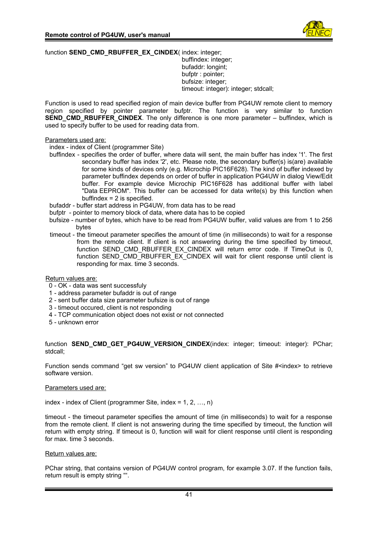

function **SEND\_CMD\_RBUFFER\_EX\_CINDEX**( index: integer; buffindex: integer; bufaddr: longint; bufptr : pointer;

 bufsize: integer; timeout: integer): integer; stdcall;

Function is used to read specified region of main device buffer from PG4UW remote client to memory region specified by pointer parameter bufptr. The function is very similar to function **SEND\_CMD\_RBUFFER\_CINDEX**. The only difference is one more parameter – buffindex, which is used to specify buffer to be used for reading data from.

# Parameters used are:

index - index of Client (programmer Site)

- buffindex specifies the order of buffer, where data will sent, the main buffer has index '1'. The first secondary buffer has index '2', etc. Please note, the secondary buffer(s) is(are) available for some kinds of devices only (e.g. Microchip PIC16F628). The kind of buffer indexed by parameter buffindex depends on order of buffer in application PG4UW in dialog View/Edit buffer. For example device Microchip PIC16F628 has additional buffer with label "Data EEPROM". This buffer can be accessed for data write(s) by this function when buffindex  $= 2$  is specified.
- bufaddr buffer start address in PG4UW, from data has to be read
- bufptr pointer to memory block of data, where data has to be copied
- bufsize number of bytes, which have to be read from PG4UW buffer, valid values are from 1 to 256 bytes
- timeout the timeout parameter specifies the amount of time (in milliseconds) to wait for a response from the remote client. If client is not answering during the time specified by timeout, function SEND CMD RBUFFER EX CINDEX will return error code. If TimeOut is 0, function SEND CMD RBUFFER EX CINDEX will wait for client response until client is responding for max. time 3 seconds.

# Return values are:

- 0 OK data was sent successfuly
- 1 address parameter bufaddr is out of range
- 2 sent buffer data size parameter bufsize is out of range
- 3 timeout occured, client is not responding
- 4 TCP communication object does not exist or not connected
- 5 unknown error

function **SEND CMD GET PG4UW VERSION CINDEX**(index: integer; timeout: integer): PChar; stdcall;

Function sends command "get sw version" to PG4UW client application of Site #<index> to retrieve software version.

# Parameters used are:

index - index of Client (programmer Site, index =  $1, 2, ..., n$ )

timeout - the timeout parameter specifies the amount of time (in milliseconds) to wait for a response from the remote client. If client is not answering during the time specified by timeout, the function will return with empty string. If timeout is 0, function will wait for client response until client is responding for max. time 3 seconds.

# Return values are:

PChar string, that contains version of PG4UW control program, for example 3.07. If the function fails, return result is empty string "".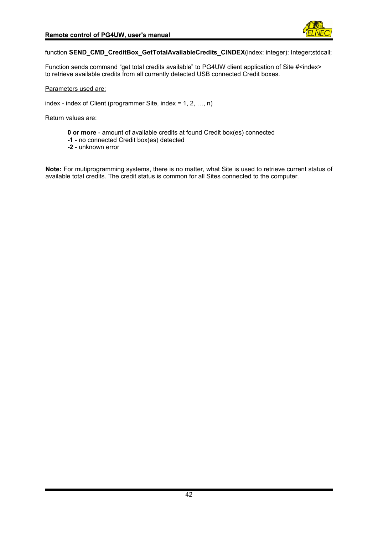

function **SEND\_CMD\_CreditBox\_GetTotalAvailableCredits\_CINDEX**(index: integer): Integer;stdcall;

Function sends command "get total credits available" to PG4UW client application of Site #<index> to retrieve available credits from all currently detected USB connected Credit boxes.

Parameters used are:

index - index of Client (programmer Site, index = 1, 2, …, n)

Return values are:

- **0 or more** amount of available credits at found Credit box(es) connected
- **-1** no connected Credit box(es) detected
- **-2** unknown error

**Note:** For mutiprogramming systems, there is no matter, what Site is used to retrieve current status of available total credits. The credit status is common for all Sites connected to the computer.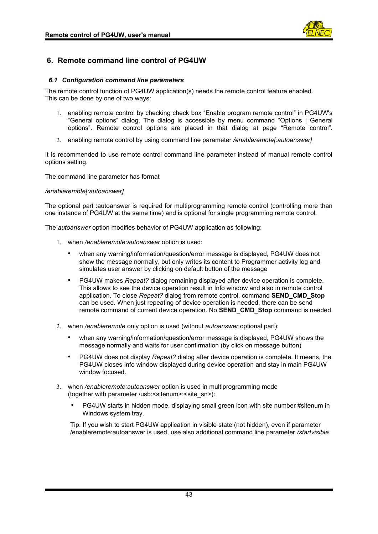

# <span id="page-42-1"></span>**6. Remote command line control of PG4UW**

# <span id="page-42-0"></span>*6.1 Configuration command line parameters*

The remote control function of PG4UW application(s) needs the remote control feature enabled. This can be done by one of two ways:

- 1. enabling remote control by checking check box "Enable program remote control" in PG4UW's "General options" dialog. The dialog is accessible by menu command "Options | General options". Remote control options are placed in that dialog at page "Remote control".
- 2. enabling remote control by using command line parameter */enableremote[:autoanswer]*

It is recommended to use remote control command line parameter instead of manual remote control options setting.

The command line parameter has format

#### */enableremote[:autoanswer]*

The optional part :autoanswer is required for multiprogramming remote control (controlling more than one instance of PG4UW at the same time) and is optional for single programming remote control.

The *autoanswer* option modifies behavior of PG4UW application as following:

- 1. when */enableremote:autoanswer* option is used:
	- when any warning/information/question/error message is displayed, PG4UW does not show the message normally, but only writes its content to Programmer activity log and simulates user answer by clicking on default button of the message
	- PG4UW makes *Repeat?* dialog remaining displayed after device operation is complete. This allows to see the device operation result in Info window and also in remote control application. To close *Repeat?* dialog from remote control, command **SEND\_CMD\_Stop** can be used. When just repeating of device operation is needed, there can be send remote command of current device operation. No **SEND\_CMD\_Stop** command is needed.
- 2. when */enableremote* only option is used (without *autoanswer* optional part):
	- when any warning/information/question/error message is displayed, PG4UW shows the message normally and waits for user confirmation (by click on message button)
	- PG4UW does not display *Repeat?* dialog after device operation is complete. It means, the PG4UW closes Info window displayed during device operation and stay in main PG4UW window focused.
- 3. when */enableremote:autoanswer* option is used in multiprogramming mode (together with parameter /usb:<sitenum>:<site\_sn>):
	- PG4UW starts in hidden mode, displaying small green icon with site number #sitenum in Windows system tray.

Tip: If you wish to start PG4UW application in visible state (not hidden), even if parameter /enableremote:autoanswer is used, use also additional command line parameter */startvisible*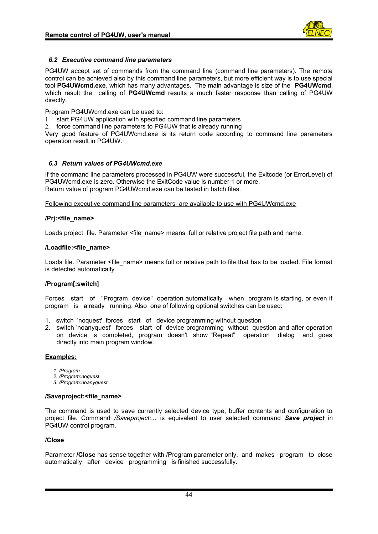

# <span id="page-43-1"></span>*6.2 Executive command line parameters*

PG4UW accept set of commands from the command line (command line parameters). The remote control can be achieved also by this command line parameters, but more efficient way is to use special tool **PG4UWcmd.exe**, which has many advantages. The main advantage is size of the **PG4UWcmd**, which result the calling of **PG4UWcmd** results a much faster response than calling of PG4UW directly.

Program PG4UWcmd.exe can be used to:

1. start PG4UW application with specified command line parameters

2. force command line parameters to PG4UW that is already running

Very good feature of PG4UWcmd.exe is its return code according to command line parameters operation result in PG4UW.

# <span id="page-43-0"></span>*6.3 Return values of PG4UWcmd.exe*

If the command line parameters processed in PG4UW were successful, the Exitcode (or ErrorLevel) of PG4UWcmd.exe is zero. Otherwise the ExitCode value is number 1 or more. Return value of program PG4UWcmd.exe can be tested in batch files.

Following executive command line parameters are available to use with PG4UWcmd.exe

# **/Prj:<file\_name>**

Loads project file. Parameter <file name> means full or relative project file path and name.

# **/Loadfile:<file\_name>**

Loads file. Parameter <file\_name> means full or relative path to file that has to be loaded. File format is detected automatically

# **/Program[:switch]**

Forces start of "Program device" operation automatically when program is starting, or even if program is already running. Also one of following optional switches can be used:

- 1. switch 'noquest' forces start of device programming without question
- 2. switch 'noanyquest' forces start of device programming without question and after operation on device is completed, program doesn't show "Repeat" operation dialog and goes directly into main program window.

# **Examples:**

- *1. /Program*
- *2. /Program:noquest*
- *3. /Program:noanyquest*

# **/Saveproject:<file\_name>**

The command is used to save currently selected device type, buffer contents and configuration to project file. Command */Saveproject:...* is equivalent to user selected command *Save project* in PG4UW control program.

# **/Close**

Parameter **/Close** has sense together with /Program parameter only, and makes program to close automatically after device programming is finished successfully.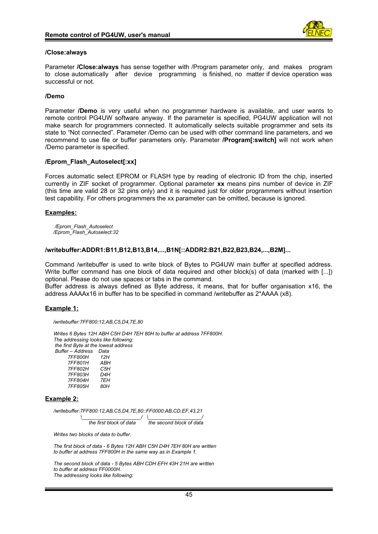

# **/Close:always**

Parameter **/Close:always** has sense together with /Program parameter only, and makes program to close automatically after device programming is finished, no matter if device operation was successful or not.

# **/Demo**

Parameter **/Demo** is very useful when no programmer hardware is available, and user wants to remote control PG4UW software anyway. If the parameter is specified, PG4UW application will not make search for programmers connected. It automatically selects suitable programmer and sets its state to "Not connected". Parameter /Demo can be used with other command line parameters, and we recommend to use file or buffer parameters only. Parameter **/Program[:switch]** will not work when /Demo parameter is specified.

# **/Eprom\_Flash\_Autoselect[:xx]**

Forces automatic select EPROM or FLASH type by reading of electronic ID from the chip, inserted currently in ZIF socket of programmer. Optional parameter **xx** means pins number of device in ZIF (this time are valid 28 or 32 pins only) and it is required just for older programmers without insertion test capability. For others programmers the xx parameter can be omitted, because is ignored.

#### **Examples:**

 */Eprom\_Flash\_Autoselect /Eprom\_Flash\_Autoselect:32*

#### **/writebuffer:ADDR1:B11,B12,B13,B14,...,B1N[::ADDR2:B21,B22,B23,B24,...,B2M]...**

Command /writebuffer is used to write block of Bytes to PG4UW main buffer at specified address. Write buffer command has one block of data required and other block(s) of data (marked with [...]) optional. Please do not use spaces or tabs in the command.

Buffer address is always defined as Byte address, it means, that for buffer organisation x16, the address AAAAx16 in buffer has to be specified in command /writebuffer as 2\*AAAA (x8).

# **Example 1:**

*/writebuffer:7FF800:12,AB,C5,D4,7E,80*

 *Writes 6 Bytes 12H ABH C5H D4H 7EH 80H to buffer at address 7FF800H. The addressing looks like following: the first Byte at the lowest address Buffer – Address Data 7FF800H 12H 7FF801H ABH 7FF802H C5H 7FF803H D4H*

 *7FF804H 7EH 7FF805H 80H*

#### **Example 2:**

 */writebuffer:7FF800:12,AB,C5,D4,7E,80::FF0000:AB,CD,EF,43,21*

 *\\_\_\_\_\_\_\_\_\_\_\_\_\_\_\_\_\_\_\_\_\_/ \\_\_\_\_\_\_\_\_\_\_\_\_\_\_\_\_\_\_\_/ the first block of data the second block of data*

 *Writes two blocks of data to buffer.*

 *The first block of data - 6 Bytes 12H ABH C5H D4H 7EH 80H are written to buffer at address 7FF800H in the same way as in Example 1.*

 *The second block of data - 5 Bytes ABH CDH EFH 43H 21H are written to buffer at address FF0000H. The addressing looks like following:*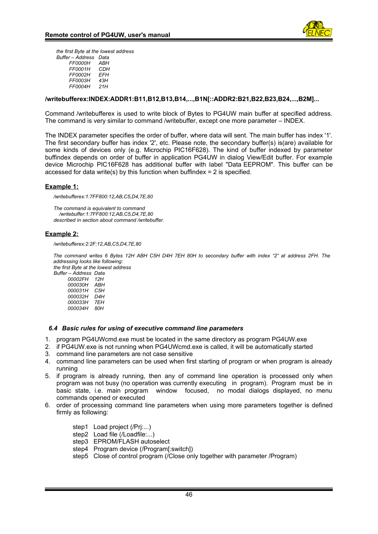

 *the first Byte at the lowest address Buffer – Address Data FF0000H ABH FF0001H CDH FF0002H EFH FF0003H 43H FF0004H 21H*

#### **/writebufferex:INDEX:ADDR1:B11,B12,B13,B14,...,B1N[::ADDR2:B21,B22,B23,B24,...,B2M]...**

Command /writebufferex is used to write block of Bytes to PG4UW main buffer at specified address. The command is very similar to command /writebuffer, except one more parameter – INDEX.

The INDEX parameter specifies the order of buffer, where data will sent. The main buffer has index '1'. The first secondary buffer has index '2', etc. Please note, the secondary buffer(s) is(are) available for some kinds of devices only (e.g. Microchip PIC16F628). The kind of buffer indexed by parameter buffindex depends on order of buffer in application PG4UW in dialog View/Edit buffer. For example device Microchip PIC16F628 has additional buffer with label "Data EEPROM". This buffer can be accessed for data write(s) by this function when buffindex  $= 2$  is specified.

#### **Example 1:**

 */writebufferex:1:7FF800:12,AB,C5,D4,7E,80*

 *The command is equivalent to command /writebuffer:1:7FF800:12,AB,C5,D4,7E,80 described in section about command /writebuffer.* 

#### **Example 2:**

 */writebufferex:2:2F:12,AB,C5,D4,7E,80*

*The command writes 6 Bytes 12H ABH C5H D4H 7EH 80H to secondary buffer with index "2" at address 2FH. The addressing looks like following: the first Byte at the lowest address*

 *Buffer – Address Data 00002FH 12H 000030H ABH 000031H C5H 000032H D4H 000033H 7EH 000034H 80H*

#### <span id="page-45-0"></span>*6.4 Basic rules for using of executive command line parameters*

- 1. program PG4UWcmd.exe must be located in the same directory as program PG4UW.exe
- 2. if PG4UW.exe is not running when PG4UWcmd.exe is called, it will be automatically started
- 3. command line parameters are not case sensitive
- 4. command line parameters can be used when first starting of program or when program is already running
- 5. if program is already running, then any of command line operation is processed only when program was not busy (no operation was currently executing in program). Program must be in basic state, i.e. main program window focused, no modal dialogs displayed, no menu commands opened or executed
- 6. order of processing command line parameters when using more parameters together is defined firmly as following:
	- step1 Load project (/Prj:...)
	- step2 Load file (/Loadfile:...)
	- step3 EPROM/FLASH autoselect
	- step4 Program device (/Program[:switch])
	- step5 Close of control program (/Close only together with parameter /Program)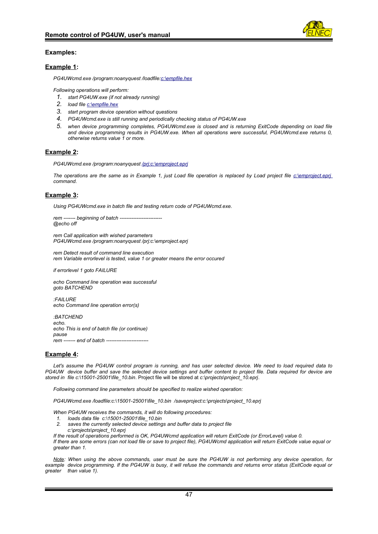

#### **Examples:**

#### **Example 1:**

*PG4UWcmd.exe /program:noanyquest /loadfile[:c:\empfile.hex](emptyfile.hex)*

*Following operations will perform:*

- *1. start PG4UW.exe (if not already running)*
- *2. load file [c:\empfile.hex](/empfile.hex)*
- *3. start program device operation without questions*
- *4. PG4UWcmd.exe is still running and periodically checking status of PG4UW.exe*
- *5. when device programming completes, PG4UWcmd.exe is closed and is returning ExitCode depending on load file and device programming results in PG4UW.exe. When all operations were successful, PG4UWcmd.exe returns 0, otherwise returns value 1 or more.*

#### **Example 2:**

*PG4UWcmd.exe /program:noanyquest [/prj:c](emptyfile.hex) [:\emproject.eprj](emptyproject.eprj)*

*The operations are the same as in Example 1, just Load file operation is replaced by Load project file [c:\emproject.eprj](/emproject.eprj) command.* 

#### **Example 3:**

*Using PG4UWcmd.exe in batch file and testing return code of PG4UWcmd.exe.*

```
rem ------- beginning of batch -------------------------
@echo off
```
*rem Call application with wished parameters PG4UWcmd.exe /program:noanyquest /prj:c:\emproject.eprj*

*rem Detect result of command line execution rem Variable errorlevel is tested, value 1 or greater means the error occured*

*if errorlevel 1 goto FAILURE*

*echo Command line operation was successful goto BATCHEND*

*:FAILURE echo Command line operation error(s)*

*:BATCHEND echo. echo This is end of batch file (or continue) pause rem ------- end of batch -------------------------*

#### **Example 4:**

*Let's assume the PG4UW control program is running, and has user selected device. We need to load required data to PG4UW device buffer and save the selected device settings and buffer content to project file. Data required for device are stored in file c:\15001-25001\file\_10.bin*. Project file will be stored at *c:\projects\project\_10.eprj*.

*Following command line parameters should be specified to realize wished operation:*

*PG4UWcmd.exe /loadfile:c:\15001-25001\file\_10.bin /saveproject:c:\projects\project\_10.eprj*

*When PG4UW receives the commands, it will do following procedures:*

- *1. loads data file c:\15001-25001\file\_10.bin*
- *2. saves the currently selected device settings and buffer data to project file c:\projects\project\_10.eprj*

*If the result of operations performed is OK, PG4UWcmd application will return ExitCode (or ErrorLevel) value 0. If there are some errors (can not load file or save to project file), PG4UWcmd application will return ExitCode value equal or greater than 1.* 

*Note: When using the above commands, user must be sure the PG4UW is not performing any device operation, for example device programming. If the PG4UW is busy, it will refuse the commands and returns error status (ExitCode equal or greater than value 1).*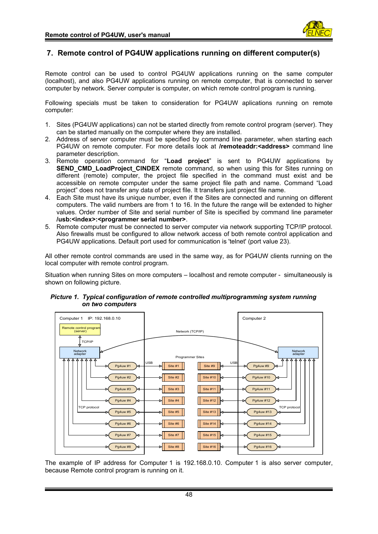

# <span id="page-47-0"></span>**7. Remote control of PG4UW applications running on different computer(s)**

Remote control can be used to control PG4UW applications running on the same computer (localhost), and also PG4UW applications running on remote computer, that is connected to server computer by network. Server computer is computer, on which remote control program is running.

Following specials must be taken to consideration for PG4UW aplications running on remote computer:

- 1. Sites (PG4UW applications) can not be started directly from remote control program (server). They can be started manually on the computer where they are installed.
- 2. Address of server computer must be specified by command line parameter, when starting each PG4UW on remote computer. For more details look at **/remoteaddr:<address>** command line parameter description.
- 3. Remote operation command for "**Load project**" is sent to PG4UW applications by **SEND\_CMD\_LoadProject\_CINDEX** remote command, so when using this for Sites running on different (remote) computer, the project file specified in the command must exist and be accessible on remote computer under the same project file path and name. Command "Load project" does not transfer any data of project file. It transfers just project file name.
- 4. Each Site must have its unique number, even if the Sites are connected and running on different computers. The valid numbers are from 1 to 16. In the future the range will be extended to higher values. Order number of Site and serial number of Site is specified by command line parameter **/usb:<index>:<programmer serial number>**.
- 5. Remote computer must be connected to server computer via network supporting TCP/IP protocol. Also firewalls must be configured to allow network access of both remote control application and PG4UW applications. Default port used for communication is 'telnet' (port value 23).

All other remote control commands are used in the same way, as for PG4UW clients running on the local computer with remote control program.

Situation when running Sites on more computers – localhost and remote computer - simultaneously is shown on following picture.



 *Picture 1. Typical configuration of remote controlled multiprogramming system running on two computers*

The example of IP address for Computer 1 is 192.168.0.10. Computer 1 is also server computer, because Remote control program is running on it.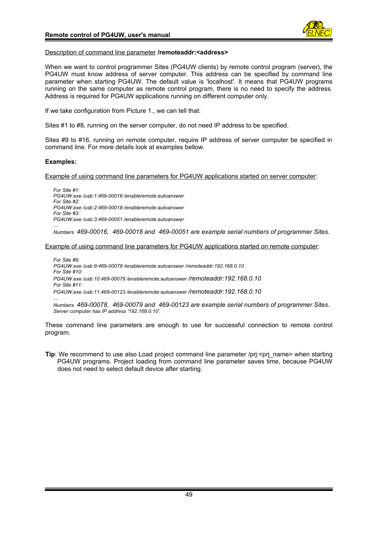

#### Description of command line parameter **/remoteaddr:<address>**

When we want to control programmer Sites (PG4UW clients) by remote control program (server), the PG4UW must know address of server computer. This address can be specified by command line parameter when starting PG4UW. The default value is 'localhost'. It means that PG4UW programs running on the same computer as remote control program, there is no need to specify the address. Address is required for PG4UW applications running on different computer only.

If we take configuration from Picture 1., we can tell that:

Sites #1 to #8, running on the server computer, do not need IP address to be specified.

Sites #9 to #16, running on remote computer, require IP address of server computer be specified in command line. For more details look at examples bellow.

#### **Examples:**

Example of using command line parameters for PG4UW applications started on server computer:

*For Site #1: PG4UW.exe /usb:1:469-00016 /enableremote:autoanswer For Site #2: PG4UW.exe /usb:2:469-00018 /enableremote:autoanswer For Site #3: PG4UW.exe /usb:3:469-00051 /enableremote:autoanswer .... Numbers 469-00016, 469-00018 and 469-00051 are example serial numbers of programmer Sites.*

Example of using command line parameters for PG4UW applications started on remote computer:

*For Site #9: PG4UW.exe /usb:9:469-00078 /enableremote:autoanswer /remoteaddr:192.168.0.10 For Site #10: PG4UW.exe /usb:10:469-00079 /enableremote:autoanswer /remoteaddr:192.168.0.10 For Site #11: PG4UW.exe /usb:11:469-00123 /enableremote:autoanswer /remoteaddr:192.168.0.10*

*.... Numbers 469-00078, 469-00079 and 469-00123 are example serial numbers of programmer Sites. Server computer has IP address '192.168.0.10'.*

These command line parameters are enough to use for successful connection to remote control program.

**Tip**: We recommend to use also Load project command line parameter /prj:<prj\_name> when starting PG4UW programs. Project loading from command line parameter saves time, because PG4UW does not need to select default device after starting.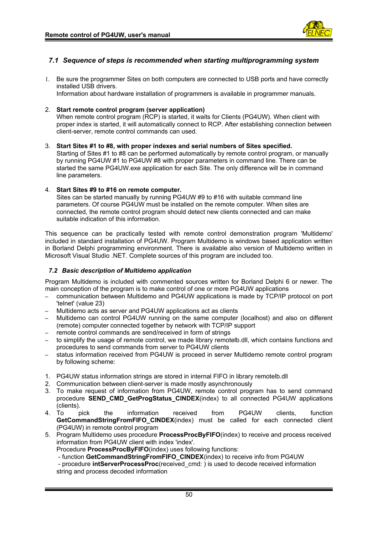

# <span id="page-49-1"></span>*7.1 Sequence of steps is recommended when starting multiprogramming system*

1. Be sure the programmer Sites on both computers are connected to USB ports and have correctly installed USB drivers.

Information about hardware installation of programmers is available in programmer manuals.

# 2. **Start remote control program (server application)**

When remote control program (RCP) is started, it waits for Clients (PG4UW). When client with proper index is started, it will automatically connect to RCP. After establishing connection between client-server, remote control commands can used.

# 3. **Start Sites #1 to #8, with proper indexes and serial numbers of Sites specified.**

Starting of Sites #1 to #8 can be performed automatically by remote control program, or manually by running PG4UW #1 to PG4UW #8 with proper parameters in command line. There can be started the same PG4UW.exe application for each Site. The only difference will be in command line parameters.

# 4. **Start Sites #9 to #16 on remote computer.**

Sites can be started manually by running PG4UW #9 to #16 with suitable command line parameters. Of course PG4UW must be installed on the remote computer. When sites are connected, the remote control program should detect new clients connected and can make suitable indication of this information.

This sequence can be practically tested with remote control demonstration program 'Multidemo' included in standard installation of PG4UW. Program Multidemo is windows based application written in Borland Delphi programming environment. There is available also version of Multidemo written in Microsoft Visual Studio .NET. Complete sources of this program are included too.

# <span id="page-49-0"></span>*7.2 Basic description of Multidemo application*

Program Multidemo is included with commented sources written for Borland Delphi 6 or newer. The main conception of the program is to make control of one or more PG4UW applications

- communication between Multidemo and PG4UW applications is made by TCP/IP protocol on port 'telnet' (value 23)
- Multidemo acts as server and PG4UW applications act as clients
- Multidemo can control PG4UW running on the same computer (localhost) and also on different (remote) computer connected together by network with TCP/IP support
- remote control commands are send/received in form of strings
- to simplify the usage of remote control, we made library remotelb.dll, which contains functions and procedures to send commands from server to PG4UW clients
- status information received from PG4UW is proceed in server Multidemo remote control program by following scheme:
- 1. PG4UW status information strings are stored in internal FIFO in library remotelb.dll
- 2. Communication between client-server is made mostly asynchronously
- 3. To make request of information from PG4UW, remote control program has to send command procedure **SEND\_CMD\_GetProgStatus\_CINDEX**(index) to all connected PG4UW applications
- (clients).<br>4. To p 4. To pick the information received from PG4UW clients, function **GetCommandStringFromFIFO\_CINDEX**(index) must be called for each connected client (PG4UW) in remote control program
- 5. Program Multidemo uses procedure **ProcessProcByFIFO**(index) to receive and process received information from PG4UW client with index 'index'.

Procedure **ProcessProcByFIFO**(index) uses following functions:

- function **GetCommandStringFromFIFO\_CINDEX**(index) to receive info from PG4UW

 - procedure **intServerProcessProc**(received\_cmd: ) is used to decode received information string and process decoded information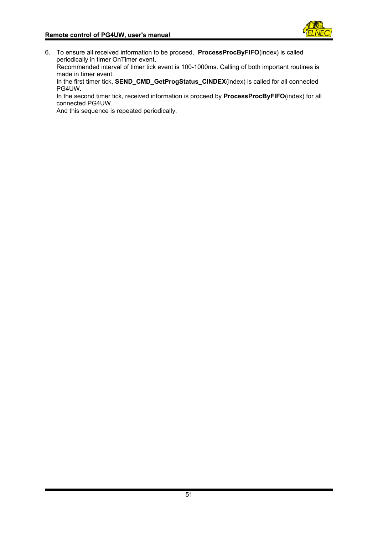

6. To ensure all received information to be proceed, **ProcessProcByFIFO**(index) is called periodically in timer OnTimer event.

Recommended interval of timer tick event is 100-1000ms. Calling of both important routines is made in timer event.

In the first timer tick, **SEND\_CMD\_GetProgStatus\_CINDEX**(index) is called for all connected PG4UW.

In the second timer tick, received information is proceed by **ProcessProcByFIFO**(index) for all connected PG4UW.

And this sequence is repeated periodically.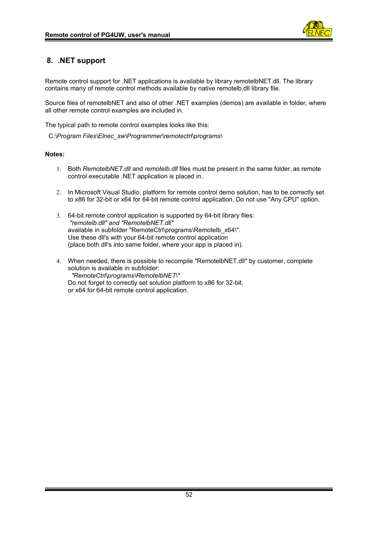

# <span id="page-51-0"></span>**8. .NET support**

Remote control support for .NET applications is available by library remotelbNET.dll. The library contains many of remote control methods available by native remotelb.dll library file.

Source files of remotelbNET and also of other .NET examples (demos) are available in folder, where all other remote control examples are included in.

The typical path to remote control examples looks like this:

C*:\Program Files\Elnec\_sw\Programmer\remotectrl\programs\*

#### **Notes:**

- 1. Both *RemotelbNET.dll* and *remotelb.dll* files must be present in the same folder, as remote control executable .NET application is placed in.
- 2. In Microsoft Visual Studio, platform for remote control demo solution, has to be correctly set to x86 for 32-bit or x64 for 64-bit remote control application. Do not use "Any CPU" option.
- 3. 64-bit remote control application is supported by 64-bit library files: *"remotelb.dll" and "RemotelbNET.dll"* available in subfolder "RemoteCtrl\programs\Remotelb\_x64\". Use these dll's with your 64-bit remote control application (place both dll's into same folder, where your app is placed in).
- 4. When needed, there is possible to recompile "RemotelbNET.dll" by customer, complete solution is available in subfolder: *"RemoteCtrl\programs\RemotelbNET\"* Do not forget to correctly set solution platform to x86 for 32-bit. or x64 for 64-bit remote control application.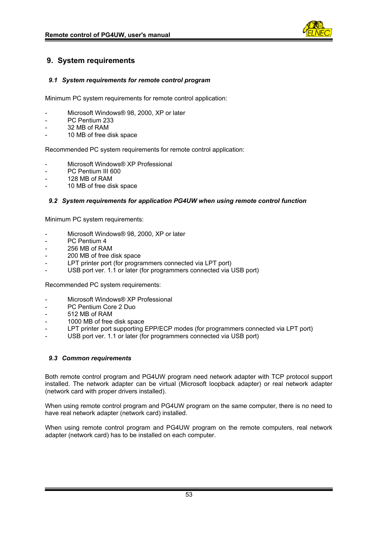

# <span id="page-52-3"></span>**9. System requirements**

# <span id="page-52-2"></span>*9.1 System requirements for remote control program*

Minimum PC system requirements for remote control application:

- Microsoft Windows® 98, 2000, XP or later
- PC Pentium 233
- 32 MB of RAM
- 10 MB of free disk space

Recommended PC system requirements for remote control application:

- Microsoft Windows® XP Professional
- PC Pentium III 600
- 128 MB of RAM
- 10 MB of free disk space

# <span id="page-52-1"></span>*9.2 System requirements for application PG4UW when using remote control function*

Minimum PC system requirements:

- Microsoft Windows® 98, 2000, XP or later
- PC Pentium 4
- 256 MB of RAM
- 200 MB of free disk space
- LPT printer port (for programmers connected via LPT port)
- USB port ver. 1.1 or later (for programmers connected via USB port)

Recommended PC system requirements:

- Microsoft Windows® XP Professional
- PC Pentium Core 2 Duo
- 512 MB of RAM
- 1000 MB of free disk space
- LPT printer port supporting EPP/ECP modes (for programmers connected via LPT port)
- USB port ver. 1.1 or later (for programmers connected via USB port)

# <span id="page-52-0"></span>*9.3 Common requirements*

Both remote control program and PG4UW program need network adapter with TCP protocol support installed. The network adapter can be virtual (Microsoft loopback adapter) or real network adapter (network card with proper drivers installed).

When using remote control program and PG4UW program on the same computer, there is no need to have real network adapter (network card) installed.

When using remote control program and PG4UW program on the remote computers, real network adapter (network card) has to be installed on each computer.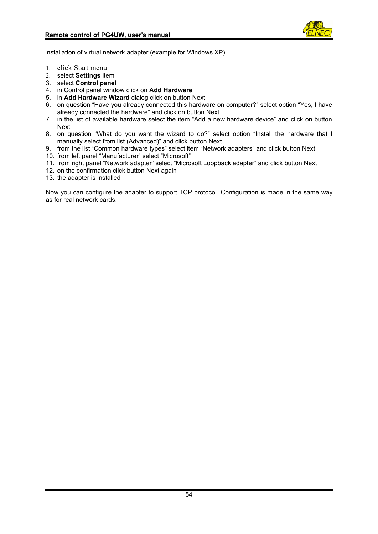

Installation of virtual network adapter (example for Windows XP):

- 1. click Start menu
- 2. select **Settings** item
- 3. select **Control panel**
- 4. in Control panel window click on **Add Hardware**
- 5. in **Add Hardware Wizard** dialog click on button Next
- 6. on question "Have you already connected this hardware on computer?" select option "Yes, I have already connected the hardware" and click on button Next
- 7. in the list of available hardware select the item "Add a new hardware device" and click on button Next
- 8. on question "What do you want the wizard to do?" select option "Install the hardware that I manually select from list (Advanced)" and click button Next
- 9. from the list "Common hardware types" select item "Network adapters" and click button Next
- 10. from left panel "Manufacturer" select "Microsoft"
- 11. from right panel "Network adapter" select "Microsoft Loopback adapter" and click button Next
- 12. on the confirmation click button Next again
- 13. the adapter is installed

Now you can configure the adapter to support TCP protocol. Configuration is made in the same way as for real network cards.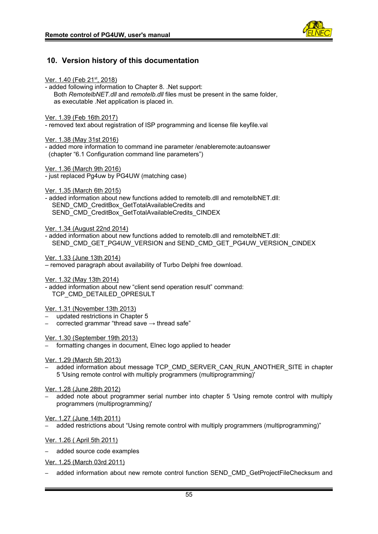

# <span id="page-54-0"></span>**10. Version history of this documentation**

| <u>Ver. 1.40 (Feb 21<sup>st</sup>, 2018)</u><br>- added following information to Chapter 8. . Net support:<br>Both RemotelbNET.dll and remotelb.dll files must be present in the same folder,<br>as executable .Net application is placed in. |
|-----------------------------------------------------------------------------------------------------------------------------------------------------------------------------------------------------------------------------------------------|
| <u>Ver. 1.39 (Feb 16th 2017)</u><br>- removed text about registration of ISP programming and license file keyfile.val                                                                                                                         |
| Ver. 1.38 (May 31st 2016)<br>- added more information to command ine parameter / enableremote: autoanswer<br>(chapter "6.1 Configuration command line parameters")                                                                            |
| <u>Ver. 1.36 (March 9th 2016)</u><br>- just replaced Pg4uw by PG4UW (matching case)                                                                                                                                                           |
| <u>Ver. 1.35 (March 6th 2015)</u><br>- added information about new functions added to remotelb.dll and remotelbNET.dll:<br>SEND CMD CreditBox GetTotalAvailableCredits and<br>SEND CMD CreditBox GetTotalAvailableCredits CINDEX              |
| Ver. 1.34 (August 22nd 2014)                                                                                                                                                                                                                  |

- added information about new functions added to remotelb.dll and remotelbNET.dll: SEND\_CMD\_GET\_PG4UW\_VERSION and SEND\_CMD\_GET\_PG4UW\_VERSION\_CINDEX

Ver. 1.33 (June 13th 2014)

– removed paragraph about availability of Turbo Delphi free download.

Ver. 1.32 (May 13th 2014)

- added information about new "client send operation result" command: TCP\_CMD\_DETAILED\_OPRESULT

# Ver. 1.31 (November 13th 2013)

– updated restrictions in Chapter 5

corrected grammar "thread save  $\rightarrow$  thread safe"

Ver. 1.30 (September 19th 2013)

formatting changes in document, Elnec logo applied to header

Ver. 1.29 (March 5th 2013)

added information about message TCP\_CMD\_SERVER\_CAN\_RUN\_ANOTHER\_SITE in chapter 5 'Using remote control with multiply programmers (multiprogramming)'

Ver. 1.28 (June 28th 2012)

– added note about programmer serial number into chapter 5 'Using remote control with multiply programmers (multiprogramming)'

Ver. 1.27 (June 14th 2011)

– added restrictions about "Using remote control with multiply programmers (multiprogramming)"

Ver. 1.26 ( April 5th 2011)

– added source code examples

Ver. 1.25 (March 03rd 2011)

– added information about new remote control function SEND\_CMD\_GetProjectFileChecksum and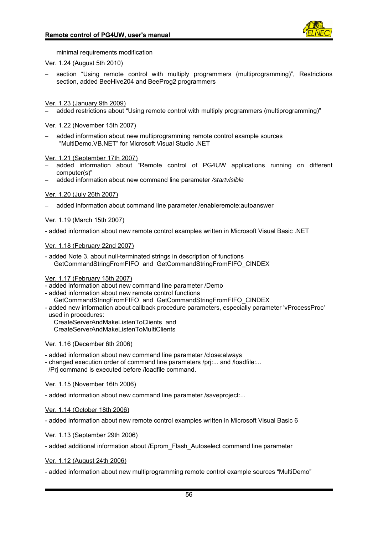

minimal requirements modification

# Ver. 1.24 (August 5th 2010)

– section "Using remote control with multiply programmers (multiprogramming)", Restrictions section, added BeeHive204 and BeeProg2 programmers

Ver. 1.23 (January 9th 2009)

– added restrictions about "Using remote control with multiply programmers (multiprogramming)"

#### Ver. 1.22 (November 15th 2007)

– added information about new multiprogramming remote control example sources "MultiDemo.VB.NET" for Microsoft Visual Studio .NET

Ver. 1.21 (September 17th 2007)

- added information about "Remote control of PG4UW applications running on different computer(s)"
- added information about new command line parameter */startvisible*

#### Ver. 1.20 (July 26th 2007)

– added information about command line parameter /enableremote:autoanswer

#### Ver. 1.19 (March 15th 2007)

- added information about new remote control examples written in Microsoft Visual Basic .NET

#### Ver. 1.18 (February 22nd 2007)

- added Note 3. about null-terminated strings in description of functions GetCommandStringFromFIFO and GetCommandStringFromFIFO\_CINDEX

#### Ver. 1.17 (February 15th 2007)

- added information about new command line parameter /Demo

- added information about new remote control functions
- GetCommandStringFromFIFO and GetCommandStringFromFIFO\_CINDEX
- added new information about callback procedure parameters, especially parameter 'vProcessProc'
- used in procedures:

CreateServerAndMakeListenToClients and

CreateServerAndMakeListenToMultiClients

# Ver. 1.16 (December 6th 2006)

- added information about new command line parameter /close:always

- changed execution order of command line parameters /prj:... and /loadfile:...

/Prj command is executed before /loadfile command.

#### Ver. 1.15 (November 16th 2006)

- added information about new command line parameter /saveproject:...

#### Ver. 1.14 (October 18th 2006)

- added information about new remote control examples written in Microsoft Visual Basic 6

Ver. 1.13 (September 29th 2006)

- added additional information about /Eprom\_Flash\_Autoselect command line parameter

Ver. 1.12 (August 24th 2006)

- added information about new multiprogramming remote control example sources "MultiDemo"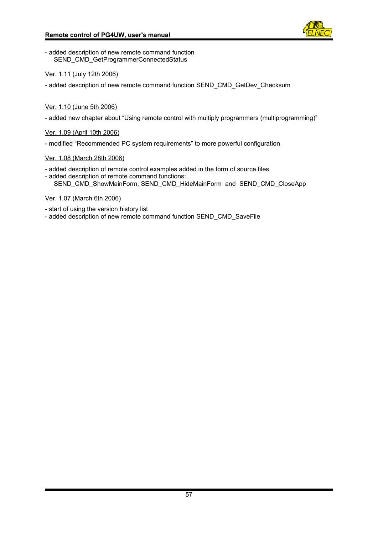

- added description of new remote command function SEND\_CMD\_GetProgrammerConnectedStatus

Ver. 1.11 (July 12th 2006)

- added description of new remote command function SEND\_CMD\_GetDev\_Checksum

# Ver. 1.10 (June 5th 2006)

- added new chapter about "Using remote control with multiply programmers (multiprogramming)"

# Ver. 1.09 (April 10th 2006)

- modified "Recommended PC system requirements" to more powerful configuration

# Ver. 1.08 (March 28th 2006)

- added description of remote control examples added in the form of source files
- added description of remote command functions: SEND\_CMD\_ShowMainForm, SEND\_CMD\_HideMainForm and SEND\_CMD\_CloseApp

# Ver. 1.07 (March 6th 2006)

- start of using the version history list
- added description of new remote command function SEND\_CMD\_SaveFile